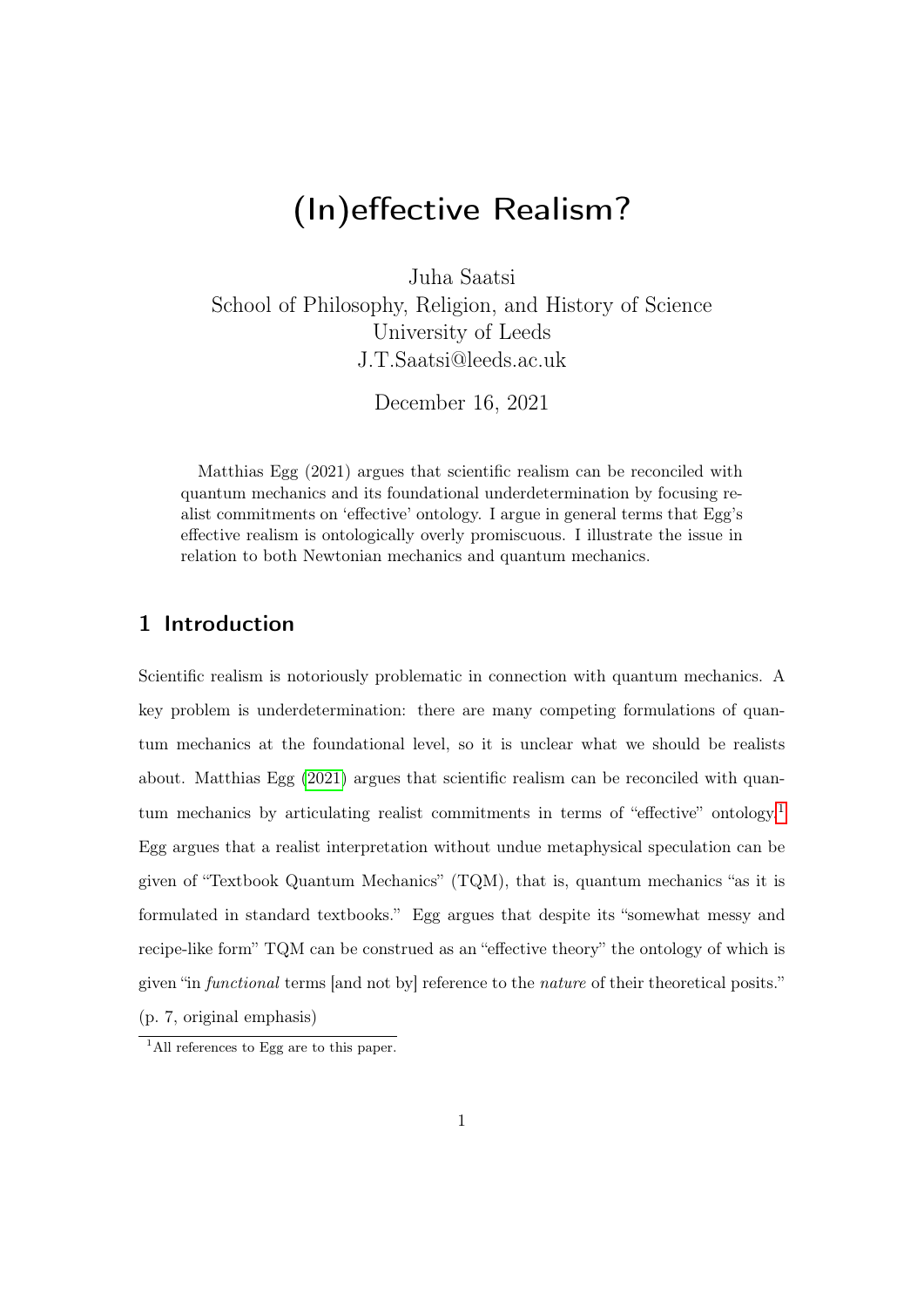# <span id="page-0-0"></span>(In)effective Realism?

Juha Saatsi

School of Philosophy, Religion, and History of Science University of Leeds J.T.Saatsi@leeds.ac.uk

December 16, 2021

Matthias Egg (2021) argues that scientific realism can be reconciled with quantum mechanics and its foundational underdetermination by focusing realist commitments on 'effective' ontology. I argue in general terms that Egg's effective realism is ontologically overly promiscuous. I illustrate the issue in relation to both Newtonian mechanics and quantum mechanics.

## 1 Introduction

Scientific realism is notoriously problematic in connection with quantum mechanics. A key problem is underdetermination: there are many competing formulations of quantum mechanics at the foundational level, so it is unclear what we should be realists about. Matthias Egg [\(2021\)](#page-22-0) argues that scientific realism can be reconciled with quantum mechanics by articulating realist commitments in terms of "effective" ontology.<sup>1</sup> Egg argues that a realist interpretation without undue metaphysical speculation can be given of "Textbook Quantum Mechanics"  $(TQM)$ , that is, quantum mechanics "as it is formulated in standard textbooks." Egg argues that despite its "somewhat messy and recipe-like form" TQM can be construed as an "effective theory" the ontology of which is given "in functional terms [and not by] reference to the nature of their theoretical posits." (p. 7, original emphasis)

<sup>&</sup>lt;sup>1</sup>All references to Egg are to this paper.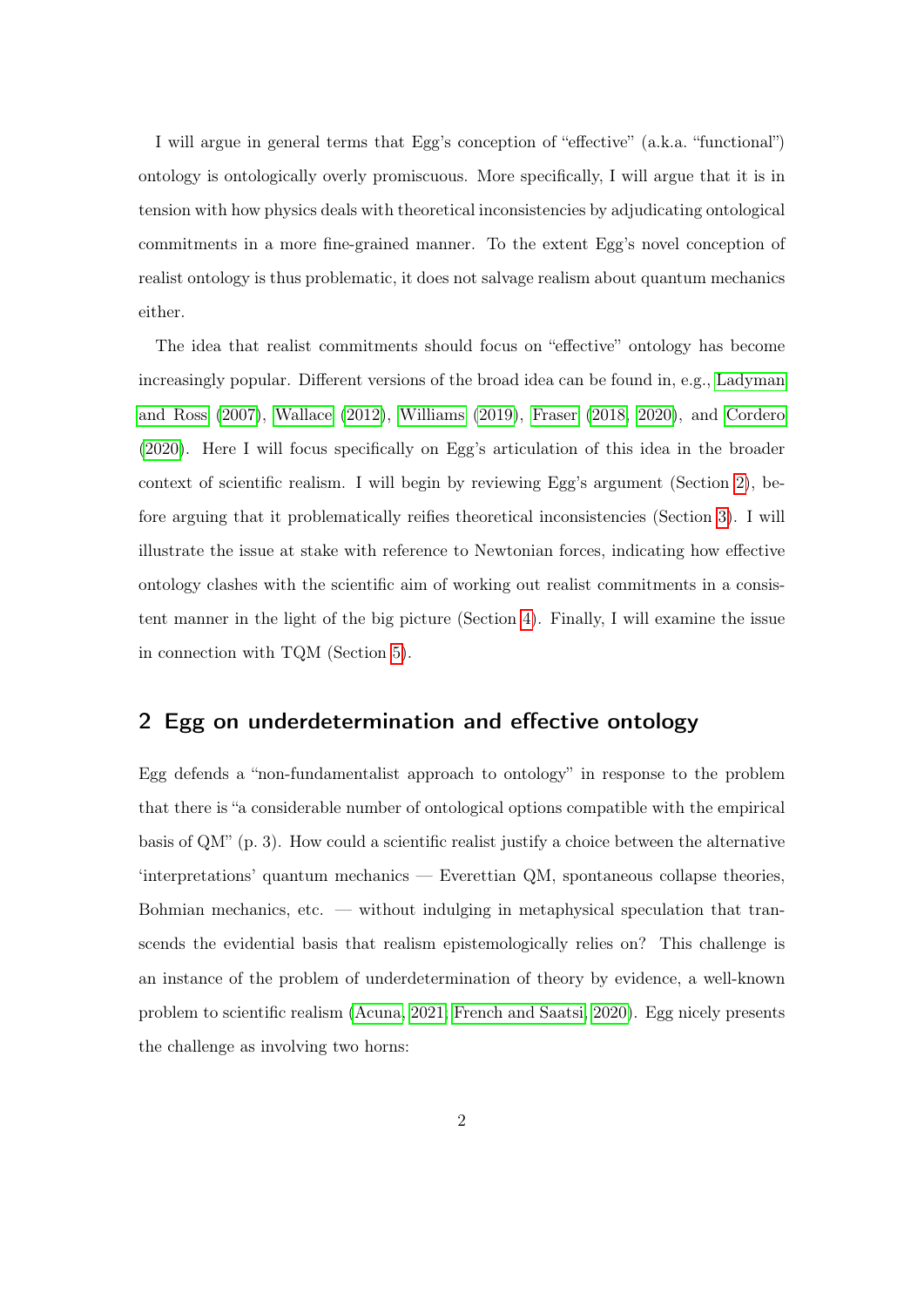I will argue in general terms that Egg's conception of "effective" (a.k.a. "functional") ontology is ontologically overly promiscuous. More specifically, I will argue that it is in tension with how physics deals with theoretical inconsistencies by adjudicating ontological commitments in a more fine-grained manner. To the extent Egg's novel conception of realist ontology is thus problematic, it does not salvage realism about quantum mechanics either.

The idea that realist commitments should focus on "effective" ontology has become increasingly popular. Different versions of the broad idea can be found in, e.g., [Ladyman](#page-23-0) [and Ross](#page-23-0) [\(2007\)](#page-23-0), [Wallace](#page-24-0) [\(2012\)](#page-24-0), [Williams](#page-24-1) [\(2019\)](#page-24-1), [Fraser](#page-22-1) [\(2018,](#page-22-1) [2020\)](#page-22-2), and [Cordero](#page-22-3) [\(2020\)](#page-22-3). Here I will focus specifically on Egg's articulation of this idea in the broader context of scientific realism. I will begin by reviewing Egg's argument (Section [2\)](#page-1-0), before arguing that it problematically reifies theoretical inconsistencies (Section [3\)](#page-5-0). I will illustrate the issue at stake with reference to Newtonian forces, indicating how effective ontology clashes with the scientific aim of working out realist commitments in a consistent manner in the light of the big picture (Section [4\)](#page-8-0). Finally, I will examine the issue in connection with TQM (Section [5\)](#page-12-0).

#### <span id="page-1-0"></span>2 Egg on underdetermination and effective ontology

Egg defends a "non-fundamentalist approach to ontology" in response to the problem that there is "a considerable number of ontological options compatible with the empirical basis of QM" (p. 3). How could a scientific realist justify a choice between the alternative 'interpretations' quantum mechanics — Everettian QM, spontaneous collapse theories, Bohmian mechanics, etc. — without indulging in metaphysical speculation that transcends the evidential basis that realism epistemologically relies on? This challenge is an instance of the problem of underdetermination of theory by evidence, a well-known problem to scientific realism [\(Acuna, 2021;](#page-21-0) [French and Saatsi, 2020\)](#page-22-4). Egg nicely presents the challenge as involving two horns: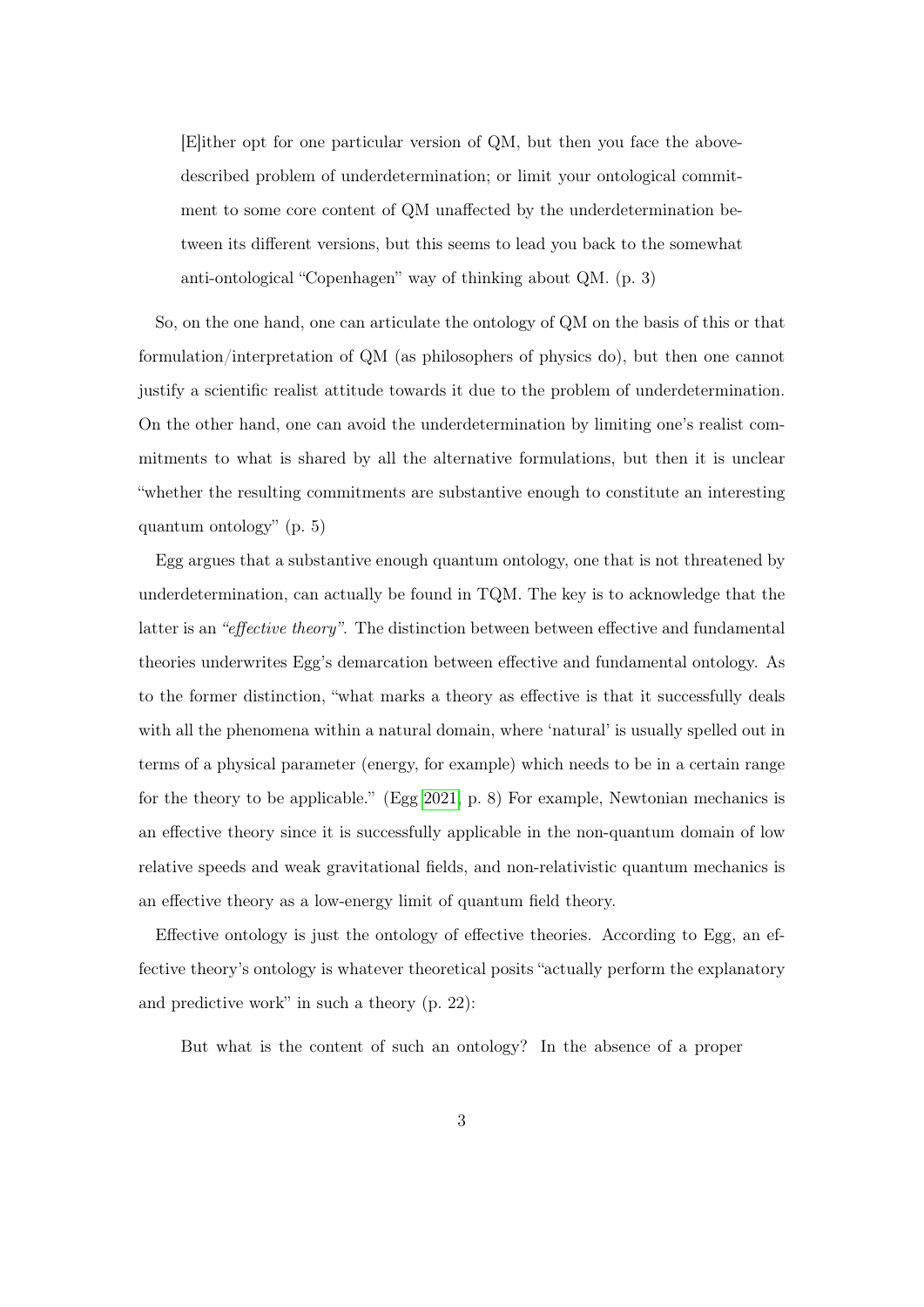[E]ither opt for one particular version of QM, but then you face the abovedescribed problem of underdetermination; or limit your ontological commitment to some core content of QM unaffected by the underdetermination between its different versions, but this seems to lead you back to the somewhat anti-ontological "Copenhagen" way of thinking about QM. (p. 3)

So, on the one hand, one can articulate the ontology of QM on the basis of this or that formulation/interpretation of QM (as philosophers of physics do), but then one cannot justify a scientific realist attitude towards it due to the problem of underdetermination. On the other hand, one can avoid the underdetermination by limiting one's realist commitments to what is shared by all the alternative formulations, but then it is unclear "whether the resulting commitments are substantive enough to constitute an interesting quantum ontology" (p. 5)

Egg argues that a substantive enough quantum ontology, one that is not threatened by underdetermination, can actually be found in TQM. The key is to acknowledge that the latter is an "effective theory". The distinction between between effective and fundamental theories underwrites Egg's demarcation between effective and fundamental ontology. As to the former distinction, "what marks a theory as effective is that it successfully deals with all the phenomena within a natural domain, where 'natural' is usually spelled out in terms of a physical parameter (energy, for example) which needs to be in a certain range for the theory to be applicable." (Egg [2021,](#page-22-0) p. 8) For example, Newtonian mechanics is an effective theory since it is successfully applicable in the non-quantum domain of low relative speeds and weak gravitational fields, and non-relativistic quantum mechanics is an effective theory as a low-energy limit of quantum field theory.

Effective ontology is just the ontology of effective theories. According to Egg, an effective theory's ontology is whatever theoretical posits "actually perform the explanatory and predictive work" in such a theory (p. 22):

But what is the content of such an ontology? In the absence of a proper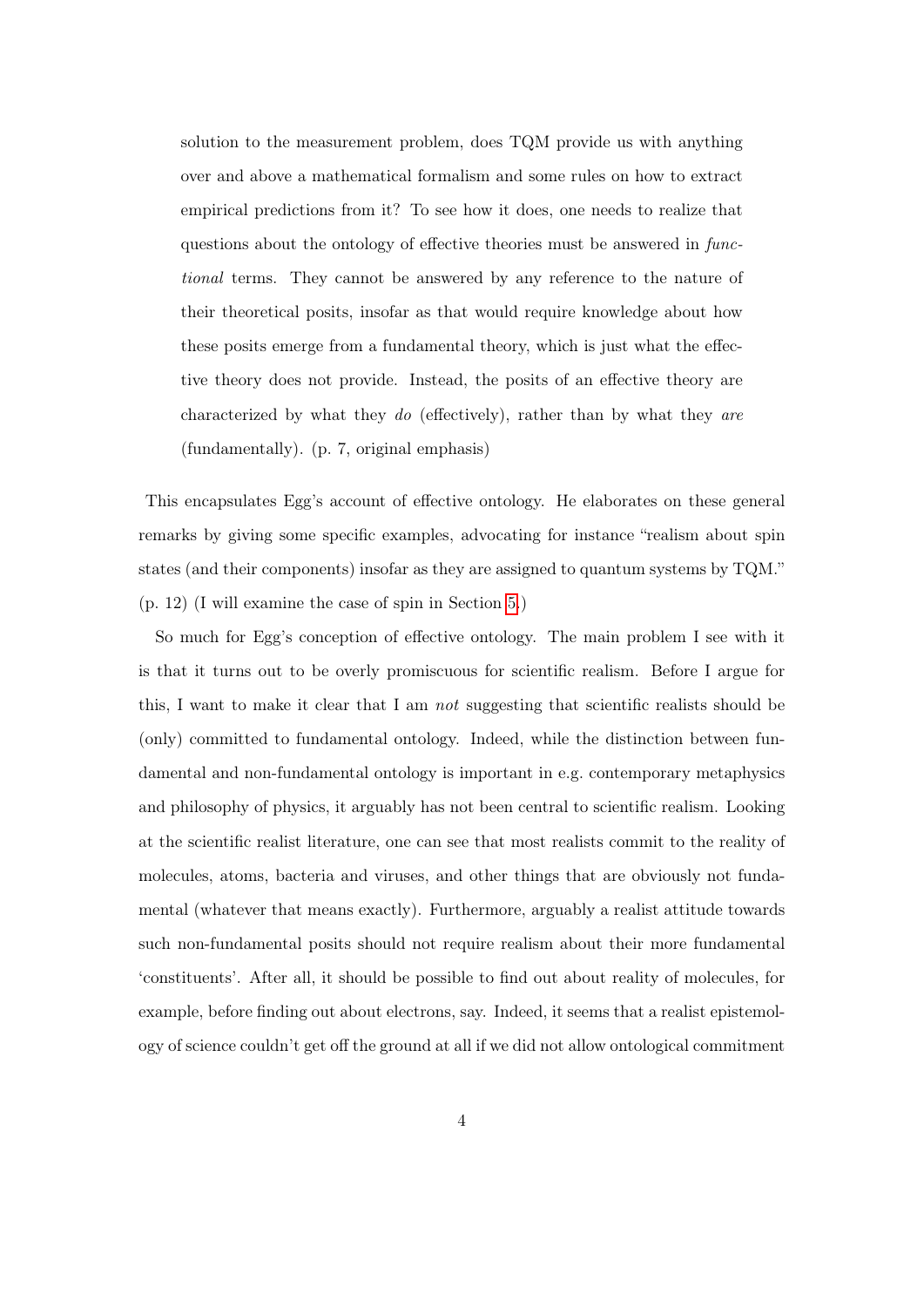solution to the measurement problem, does TQM provide us with anything over and above a mathematical formalism and some rules on how to extract empirical predictions from it? To see how it does, one needs to realize that questions about the ontology of effective theories must be answered in functional terms. They cannot be answered by any reference to the nature of their theoretical posits, insofar as that would require knowledge about how these posits emerge from a fundamental theory, which is just what the effective theory does not provide. Instead, the posits of an effective theory are characterized by what they do (effectively), rather than by what they are (fundamentally). (p. 7, original emphasis)

This encapsulates Egg's account of effective ontology. He elaborates on these general remarks by giving some specific examples, advocating for instance "realism about spin states (and their components) insofar as they are assigned to quantum systems by TQM." (p. 12) (I will examine the case of spin in Section [5.](#page-12-0))

So much for Egg's conception of effective ontology. The main problem I see with it is that it turns out to be overly promiscuous for scientific realism. Before I argue for this, I want to make it clear that I am not suggesting that scientific realists should be (only) committed to fundamental ontology. Indeed, while the distinction between fundamental and non-fundamental ontology is important in e.g. contemporary metaphysics and philosophy of physics, it arguably has not been central to scientific realism. Looking at the scientific realist literature, one can see that most realists commit to the reality of molecules, atoms, bacteria and viruses, and other things that are obviously not fundamental (whatever that means exactly). Furthermore, arguably a realist attitude towards such non-fundamental posits should not require realism about their more fundamental 'constituents'. After all, it should be possible to find out about reality of molecules, for example, before finding out about electrons, say. Indeed, it seems that a realist epistemology of science couldn't get off the ground at all if we did not allow ontological commitment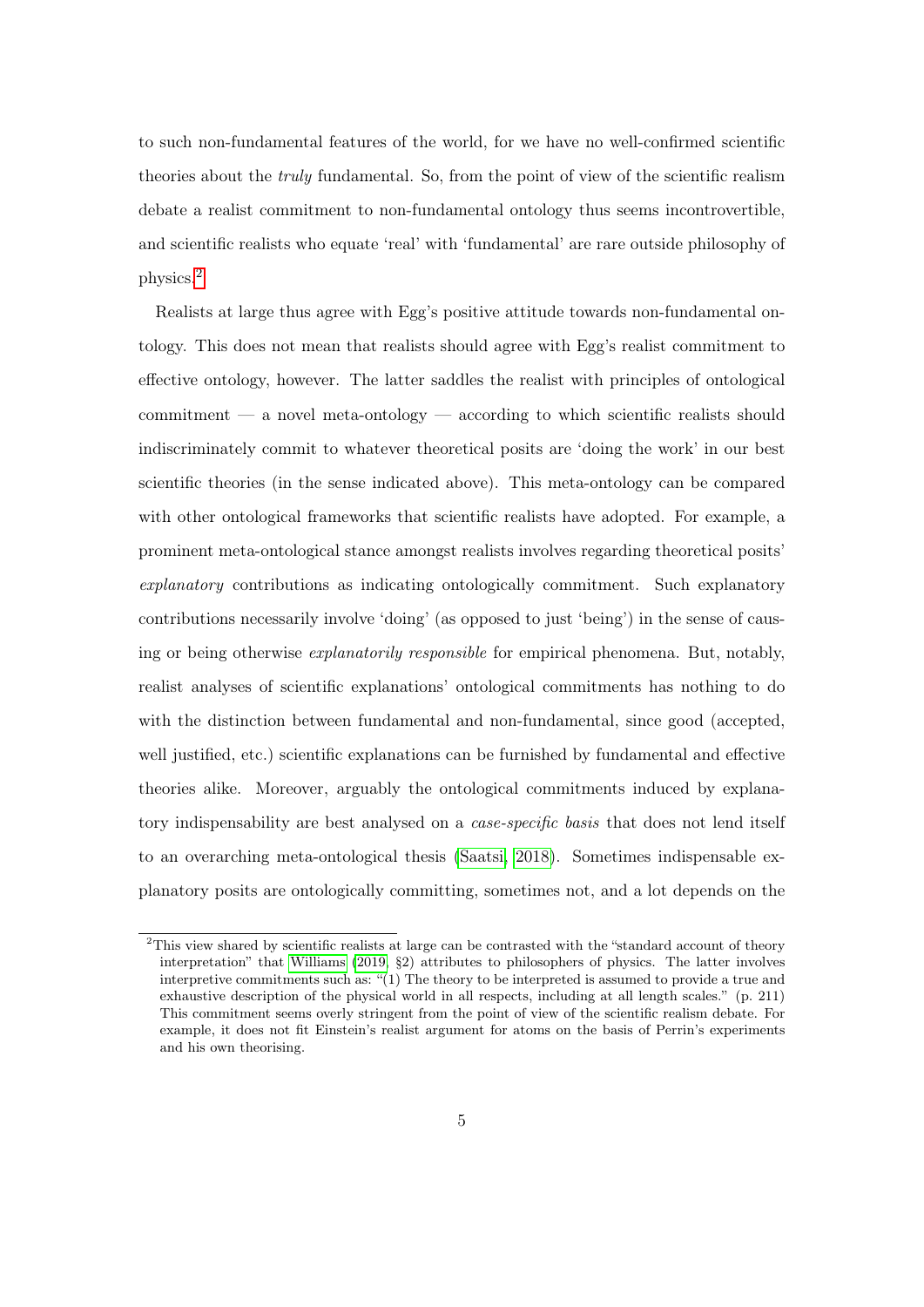to such non-fundamental features of the world, for we have no well-confirmed scientific theories about the truly fundamental. So, from the point of view of the scientific realism debate a realist commitment to non-fundamental ontology thus seems incontrovertible, and scientific realists who equate 'real' with 'fundamental' are rare outside philosophy of physics.[2](#page-0-0)

Realists at large thus agree with Egg's positive attitude towards non-fundamental ontology. This does not mean that realists should agree with Egg's realist commitment to effective ontology, however. The latter saddles the realist with principles of ontological commitment — a novel meta-ontology — according to which scientific realists should indiscriminately commit to whatever theoretical posits are 'doing the work' in our best scientific theories (in the sense indicated above). This meta-ontology can be compared with other ontological frameworks that scientific realists have adopted. For example, a prominent meta-ontological stance amongst realists involves regarding theoretical posits' explanatory contributions as indicating ontologically commitment. Such explanatory contributions necessarily involve 'doing' (as opposed to just 'being') in the sense of causing or being otherwise explanatorily responsible for empirical phenomena. But, notably, realist analyses of scientific explanations' ontological commitments has nothing to do with the distinction between fundamental and non-fundamental, since good (accepted, well justified, etc.) scientific explanations can be furnished by fundamental and effective theories alike. Moreover, arguably the ontological commitments induced by explanatory indispensability are best analysed on a *case-specific basis* that does not lend itself to an overarching meta-ontological thesis [\(Saatsi, 2018\)](#page-23-1). Sometimes indispensable explanatory posits are ontologically committing, sometimes not, and a lot depends on the

<sup>&</sup>lt;sup>2</sup>This view shared by scientific realists at large can be contrasted with the "standard account of theory" interpretation" that [Williams](#page-24-1) [\(2019,](#page-24-1) §2) attributes to philosophers of physics. The latter involves interpretive commitments such as: "(1) The theory to be interpreted is assumed to provide a true and exhaustive description of the physical world in all respects, including at all length scales." (p. 211) This commitment seems overly stringent from the point of view of the scientific realism debate. For example, it does not fit Einstein's realist argument for atoms on the basis of Perrin's experiments and his own theorising.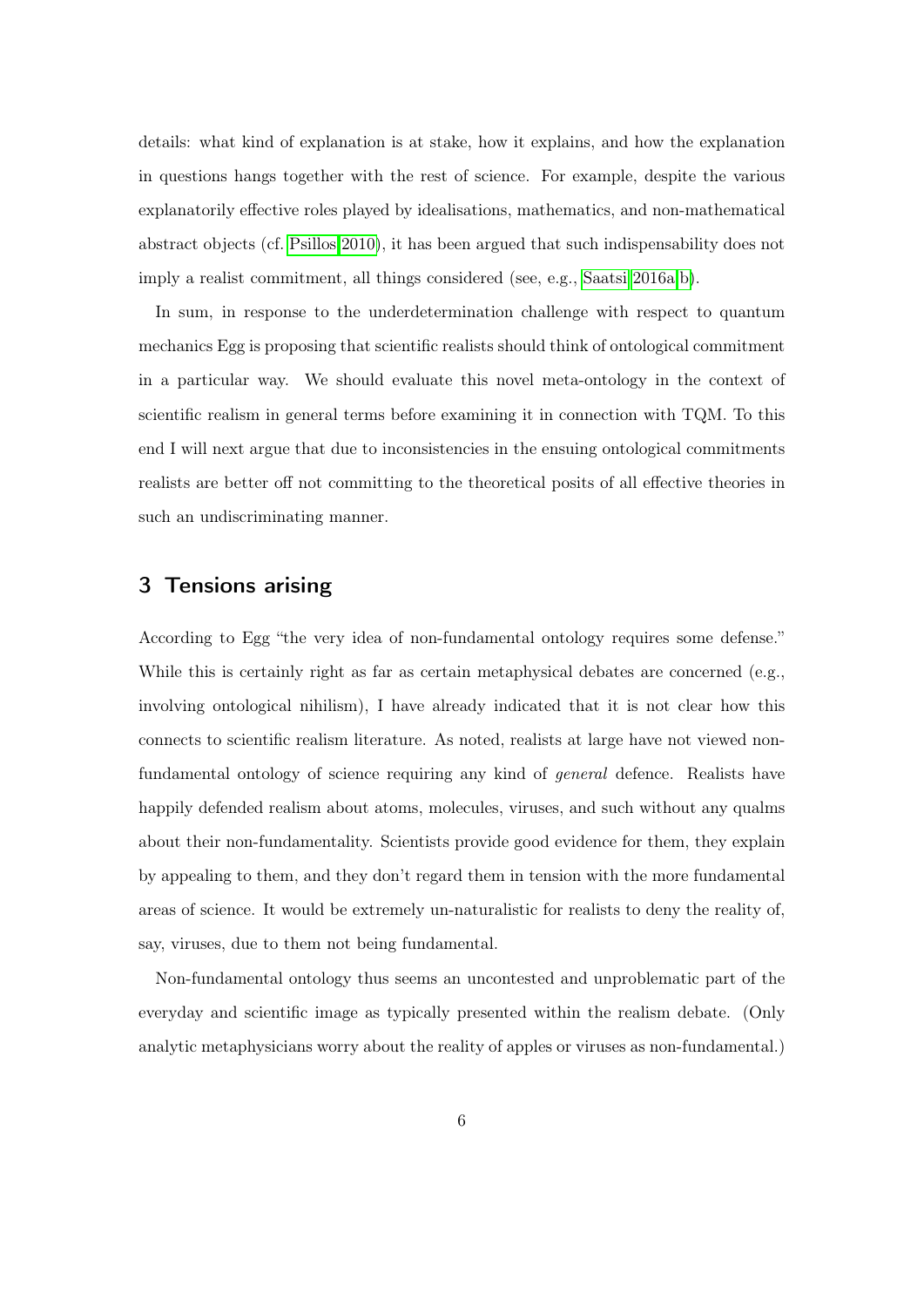details: what kind of explanation is at stake, how it explains, and how the explanation in questions hangs together with the rest of science. For example, despite the various explanatorily effective roles played by idealisations, mathematics, and non-mathematical abstract objects (cf. [Psillos 2010\)](#page-23-2), it has been argued that such indispensability does not imply a realist commitment, all things considered (see, e.g., [Saatsi 2016a,](#page-23-3)[b\)](#page-23-4).

In sum, in response to the underdetermination challenge with respect to quantum mechanics Egg is proposing that scientific realists should think of ontological commitment in a particular way. We should evaluate this novel meta-ontology in the context of scientific realism in general terms before examining it in connection with TQM. To this end I will next argue that due to inconsistencies in the ensuing ontological commitments realists are better off not committing to the theoretical posits of all effective theories in such an undiscriminating manner.

## <span id="page-5-0"></span>3 Tensions arising

According to Egg "the very idea of non-fundamental ontology requires some defense." While this is certainly right as far as certain metaphysical debates are concerned (e.g., involving ontological nihilism), I have already indicated that it is not clear how this connects to scientific realism literature. As noted, realists at large have not viewed nonfundamental ontology of science requiring any kind of general defence. Realists have happily defended realism about atoms, molecules, viruses, and such without any qualms about their non-fundamentality. Scientists provide good evidence for them, they explain by appealing to them, and they don't regard them in tension with the more fundamental areas of science. It would be extremely un-naturalistic for realists to deny the reality of, say, viruses, due to them not being fundamental.

Non-fundamental ontology thus seems an uncontested and unproblematic part of the everyday and scientific image as typically presented within the realism debate. (Only analytic metaphysicians worry about the reality of apples or viruses as non-fundamental.)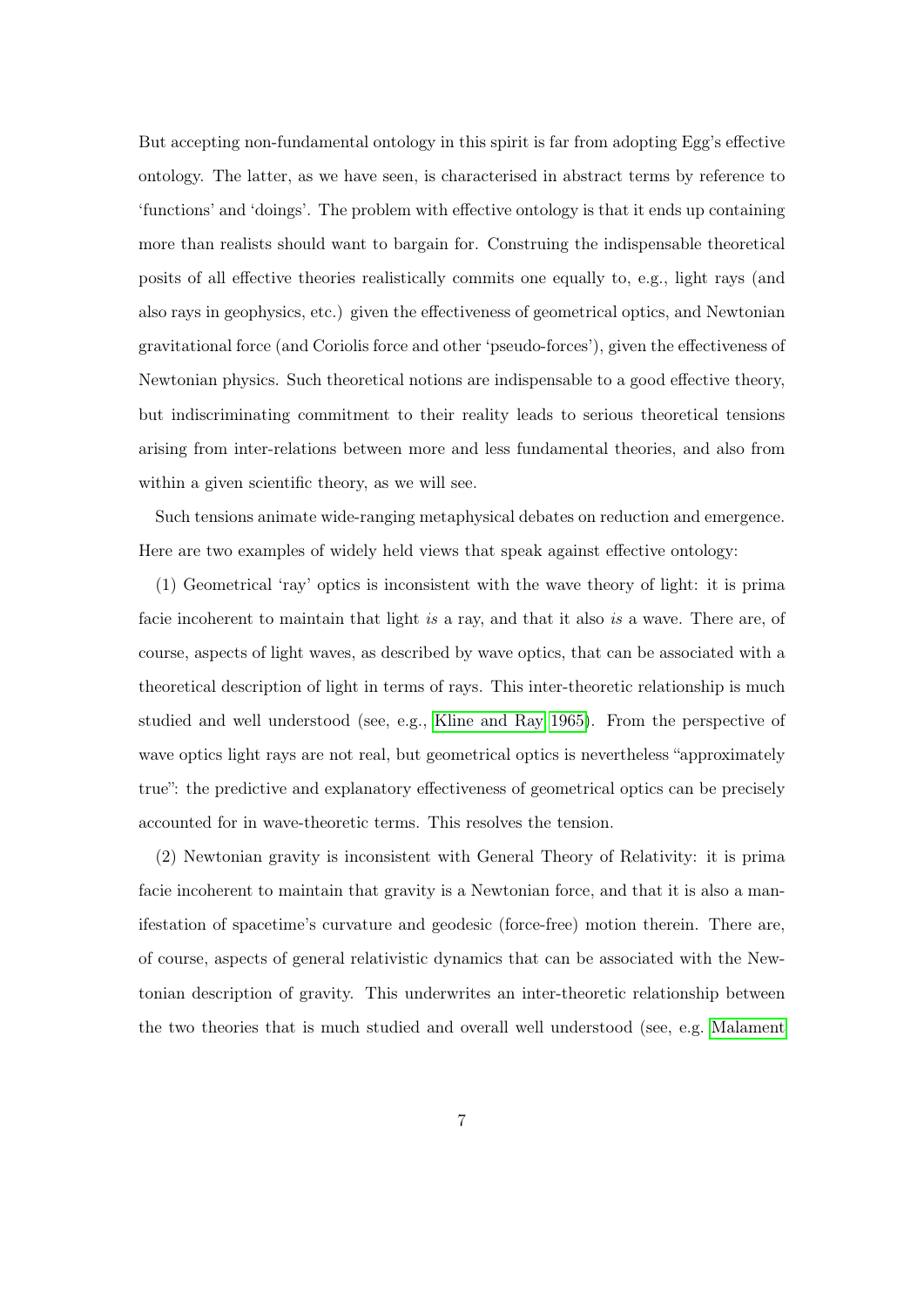But accepting non-fundamental ontology in this spirit is far from adopting Egg's effective ontology. The latter, as we have seen, is characterised in abstract terms by reference to 'functions' and 'doings'. The problem with effective ontology is that it ends up containing more than realists should want to bargain for. Construing the indispensable theoretical posits of all effective theories realistically commits one equally to, e.g., light rays (and also rays in geophysics, etc.) given the effectiveness of geometrical optics, and Newtonian gravitational force (and Coriolis force and other 'pseudo-forces'), given the effectiveness of Newtonian physics. Such theoretical notions are indispensable to a good effective theory, but indiscriminating commitment to their reality leads to serious theoretical tensions arising from inter-relations between more and less fundamental theories, and also from within a given scientific theory, as we will see.

Such tensions animate wide-ranging metaphysical debates on reduction and emergence. Here are two examples of widely held views that speak against effective ontology:

(1) Geometrical 'ray' optics is inconsistent with the wave theory of light: it is prima facie incoherent to maintain that light is a ray, and that it also is a wave. There are, of course, aspects of light waves, as described by wave optics, that can be associated with a theoretical description of light in terms of rays. This inter-theoretic relationship is much studied and well understood (see, e.g., [Kline and Ray 1965\)](#page-22-5). From the perspective of wave optics light rays are not real, but geometrical optics is nevertheless "approximately true": the predictive and explanatory effectiveness of geometrical optics can be precisely accounted for in wave-theoretic terms. This resolves the tension.

(2) Newtonian gravity is inconsistent with General Theory of Relativity: it is prima facie incoherent to maintain that gravity is a Newtonian force, and that it is also a manifestation of spacetime's curvature and geodesic (force-free) motion therein. There are, of course, aspects of general relativistic dynamics that can be associated with the Newtonian description of gravity. This underwrites an inter-theoretic relationship between the two theories that is much studied and overall well understood (see, e.g. [Malament](#page-23-5)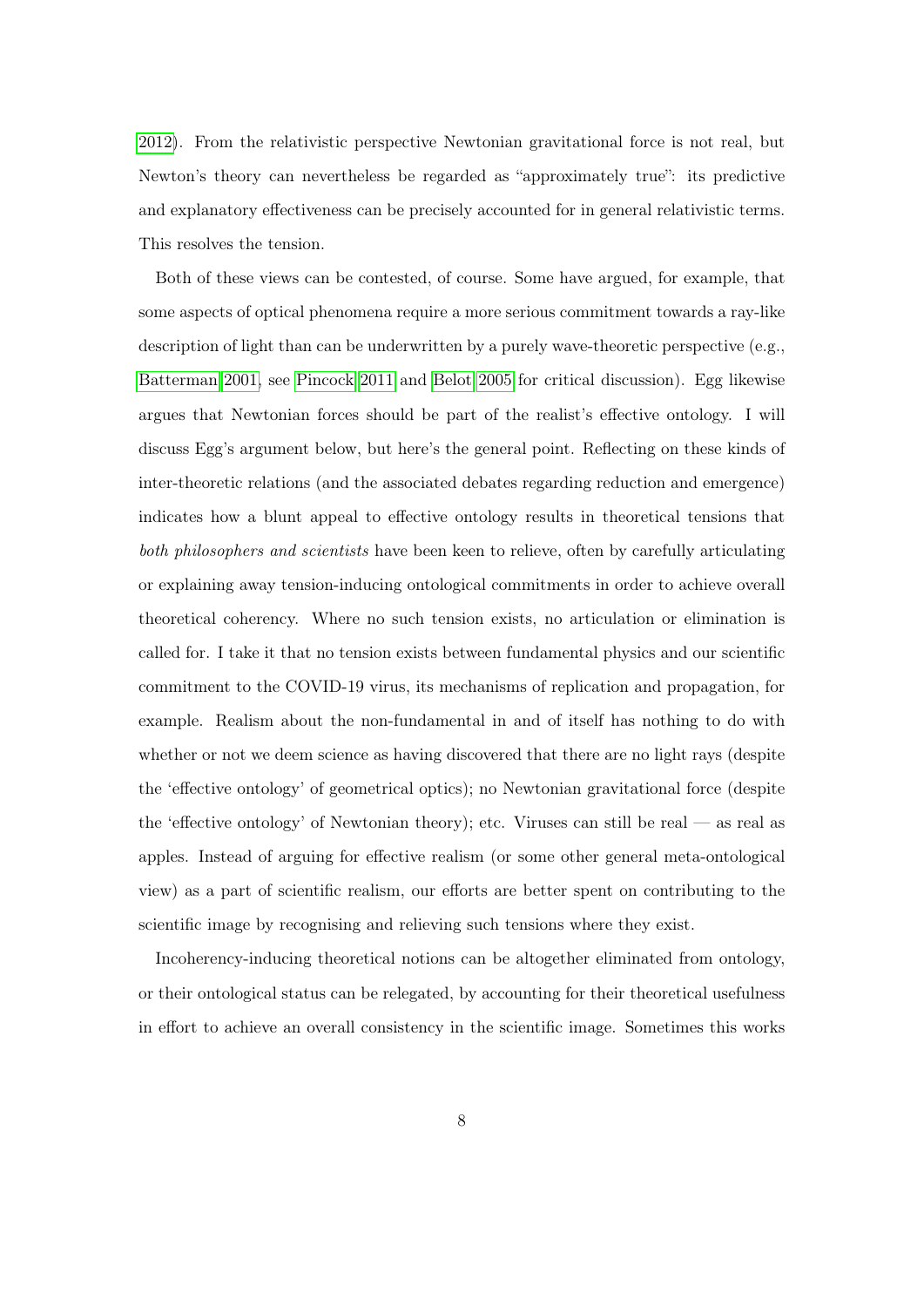[2012\)](#page-23-5). From the relativistic perspective Newtonian gravitational force is not real, but Newton's theory can nevertheless be regarded as "approximately true": its predictive and explanatory effectiveness can be precisely accounted for in general relativistic terms. This resolves the tension.

Both of these views can be contested, of course. Some have argued, for example, that some aspects of optical phenomena require a more serious commitment towards a ray-like description of light than can be underwritten by a purely wave-theoretic perspective (e.g., [Batterman 2001,](#page-21-1) see [Pincock 2011](#page-23-6) and [Belot 2005](#page-21-2) for critical discussion). Egg likewise argues that Newtonian forces should be part of the realist's effective ontology. I will discuss Egg's argument below, but here's the general point. Reflecting on these kinds of inter-theoretic relations (and the associated debates regarding reduction and emergence) indicates how a blunt appeal to effective ontology results in theoretical tensions that both philosophers and scientists have been keen to relieve, often by carefully articulating or explaining away tension-inducing ontological commitments in order to achieve overall theoretical coherency. Where no such tension exists, no articulation or elimination is called for. I take it that no tension exists between fundamental physics and our scientific commitment to the COVID-19 virus, its mechanisms of replication and propagation, for example. Realism about the non-fundamental in and of itself has nothing to do with whether or not we deem science as having discovered that there are no light rays (despite the 'effective ontology' of geometrical optics); no Newtonian gravitational force (despite the 'effective ontology' of Newtonian theory); etc. Viruses can still be real — as real as apples. Instead of arguing for effective realism (or some other general meta-ontological view) as a part of scientific realism, our efforts are better spent on contributing to the scientific image by recognising and relieving such tensions where they exist.

Incoherency-inducing theoretical notions can be altogether eliminated from ontology, or their ontological status can be relegated, by accounting for their theoretical usefulness in effort to achieve an overall consistency in the scientific image. Sometimes this works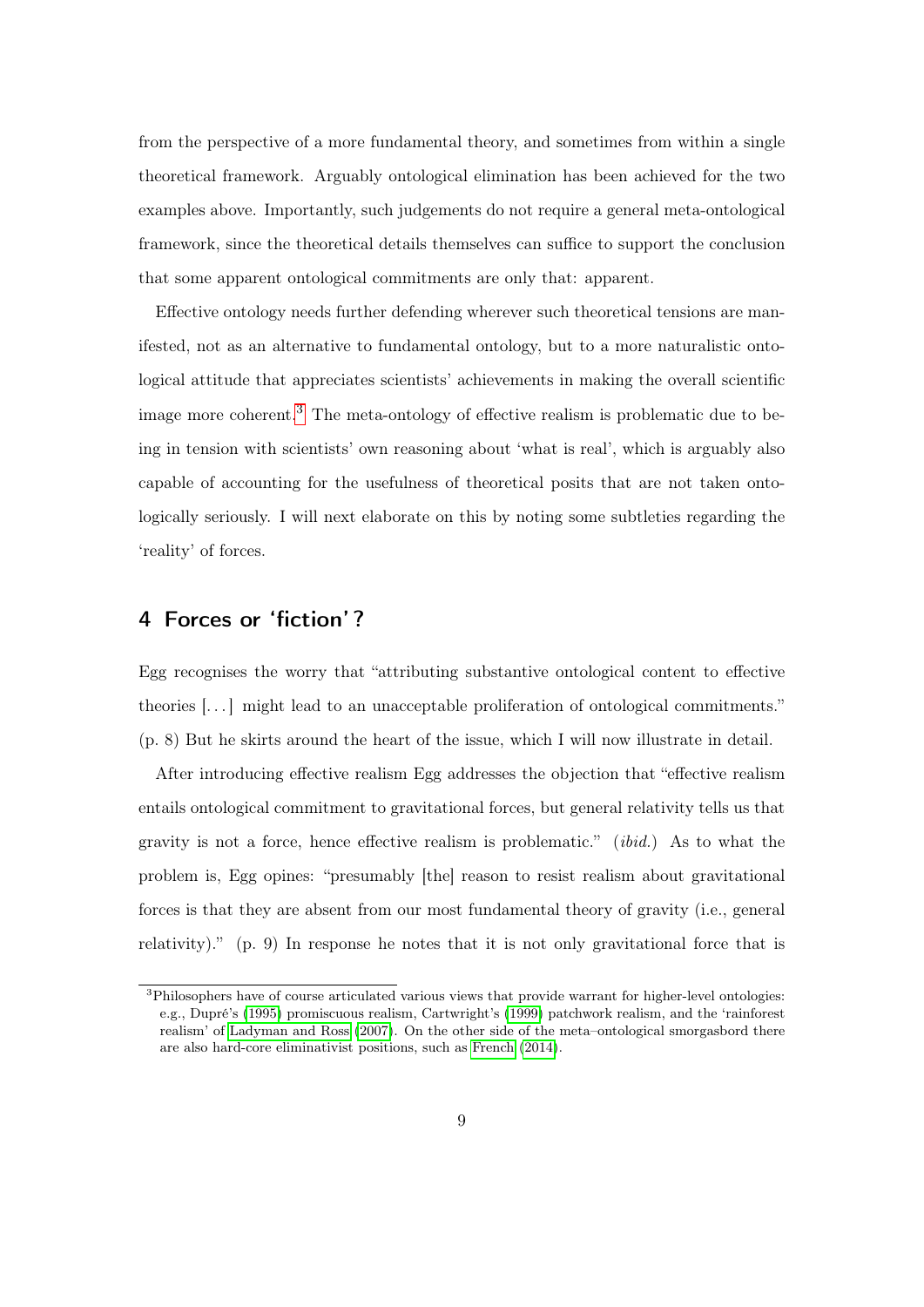from the perspective of a more fundamental theory, and sometimes from within a single theoretical framework. Arguably ontological elimination has been achieved for the two examples above. Importantly, such judgements do not require a general meta-ontological framework, since the theoretical details themselves can suffice to support the conclusion that some apparent ontological commitments are only that: apparent.

Effective ontology needs further defending wherever such theoretical tensions are manifested, not as an alternative to fundamental ontology, but to a more naturalistic ontological attitude that appreciates scientists' achievements in making the overall scientific image more coherent.<sup>[3](#page-0-0)</sup> The meta-ontology of effective realism is problematic due to being in tension with scientists' own reasoning about 'what is real', which is arguably also capable of accounting for the usefulness of theoretical posits that are not taken ontologically seriously. I will next elaborate on this by noting some subtleties regarding the 'reality' of forces.

#### <span id="page-8-0"></span>4 Forces or 'fiction' ?

Egg recognises the worry that "attributing substantive ontological content to effective theories [. . . ] might lead to an unacceptable proliferation of ontological commitments." (p. 8) But he skirts around the heart of the issue, which I will now illustrate in detail.

After introducing effective realism Egg addresses the objection that "effective realism entails ontological commitment to gravitational forces, but general relativity tells us that gravity is not a force, hence effective realism is problematic." (ibid.) As to what the problem is, Egg opines: "presumably [the] reason to resist realism about gravitational forces is that they are absent from our most fundamental theory of gravity (i.e., general relativity)." (p. 9) In response he notes that it is not only gravitational force that is

<sup>&</sup>lt;sup>3</sup>Philosophers have of course articulated various views that provide warrant for higher-level ontologies: e.g., Dupré's [\(1995\)](#page-22-6) promiscuous realism, Cartwright's [\(1999\)](#page-21-3) patchwork realism, and the 'rainforest realism' of [Ladyman and Ross](#page-23-0) [\(2007\)](#page-23-0). On the other side of the meta–ontological smorgasbord there are also hard-core eliminativist positions, such as [French](#page-22-7) [\(2014\)](#page-22-7).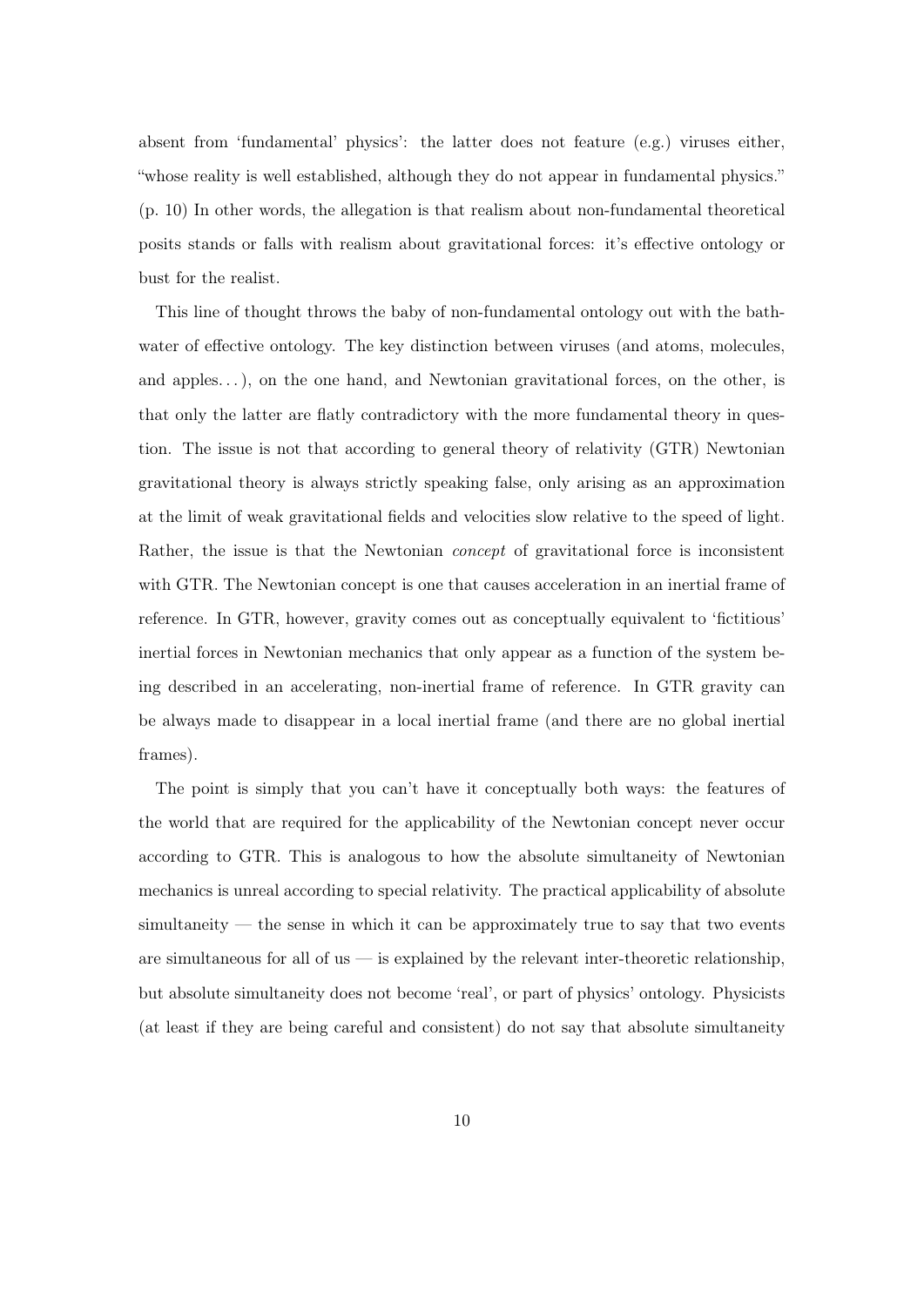absent from 'fundamental' physics': the latter does not feature (e.g.) viruses either, "whose reality is well established, although they do not appear in fundamental physics." (p. 10) In other words, the allegation is that realism about non-fundamental theoretical posits stands or falls with realism about gravitational forces: it's effective ontology or bust for the realist.

This line of thought throws the baby of non-fundamental ontology out with the bathwater of effective ontology. The key distinction between viruses (and atoms, molecules, and apples...), on the one hand, and Newtonian gravitational forces, on the other, is that only the latter are flatly contradictory with the more fundamental theory in question. The issue is not that according to general theory of relativity (GTR) Newtonian gravitational theory is always strictly speaking false, only arising as an approximation at the limit of weak gravitational fields and velocities slow relative to the speed of light. Rather, the issue is that the Newtonian concept of gravitational force is inconsistent with GTR. The Newtonian concept is one that causes acceleration in an inertial frame of reference. In GTR, however, gravity comes out as conceptually equivalent to 'fictitious' inertial forces in Newtonian mechanics that only appear as a function of the system being described in an accelerating, non-inertial frame of reference. In GTR gravity can be always made to disappear in a local inertial frame (and there are no global inertial frames).

The point is simply that you can't have it conceptually both ways: the features of the world that are required for the applicability of the Newtonian concept never occur according to GTR. This is analogous to how the absolute simultaneity of Newtonian mechanics is unreal according to special relativity. The practical applicability of absolute simultaneity — the sense in which it can be approximately true to say that two events are simultaneous for all of us  $\frac{1}{2}$  is explained by the relevant inter-theoretic relationship, but absolute simultaneity does not become 'real', or part of physics' ontology. Physicists (at least if they are being careful and consistent) do not say that absolute simultaneity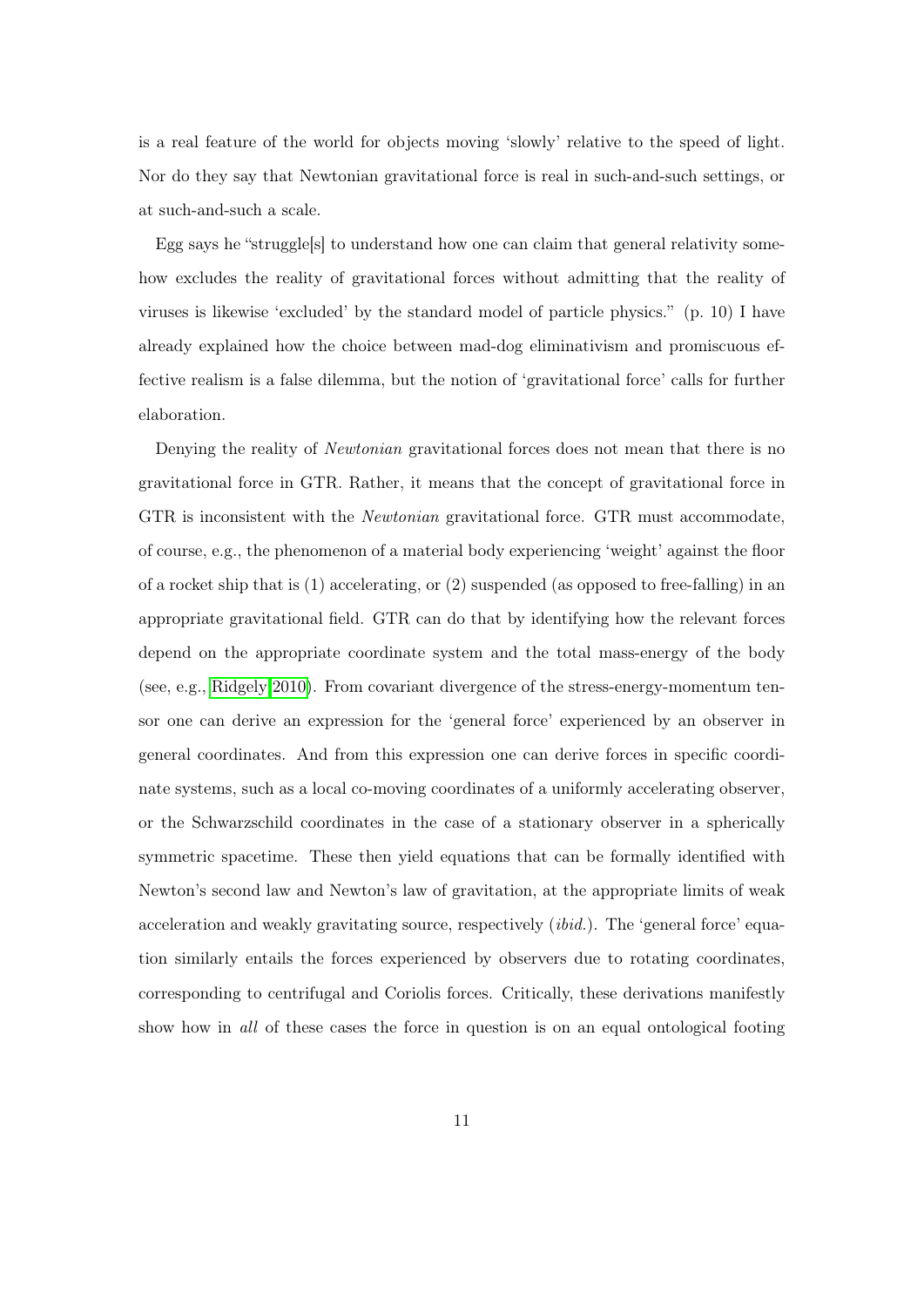is a real feature of the world for objects moving 'slowly' relative to the speed of light. Nor do they say that Newtonian gravitational force is real in such-and-such settings, or at such-and-such a scale.

Egg says he "struggle[s] to understand how one can claim that general relativity somehow excludes the reality of gravitational forces without admitting that the reality of viruses is likewise 'excluded' by the standard model of particle physics." (p. 10) I have already explained how the choice between mad-dog eliminativism and promiscuous effective realism is a false dilemma, but the notion of 'gravitational force' calls for further elaboration.

Denying the reality of Newtonian gravitational forces does not mean that there is no gravitational force in GTR. Rather, it means that the concept of gravitational force in GTR is inconsistent with the Newtonian gravitational force. GTR must accommodate, of course, e.g., the phenomenon of a material body experiencing 'weight' against the floor of a rocket ship that is (1) accelerating, or (2) suspended (as opposed to free-falling) in an appropriate gravitational field. GTR can do that by identifying how the relevant forces depend on the appropriate coordinate system and the total mass-energy of the body (see, e.g., [Ridgely 2010\)](#page-23-7). From covariant divergence of the stress-energy-momentum tensor one can derive an expression for the 'general force' experienced by an observer in general coordinates. And from this expression one can derive forces in specific coordinate systems, such as a local co-moving coordinates of a uniformly accelerating observer, or the Schwarzschild coordinates in the case of a stationary observer in a spherically symmetric spacetime. These then yield equations that can be formally identified with Newton's second law and Newton's law of gravitation, at the appropriate limits of weak acceleration and weakly gravitating source, respectively *(ibid.)*. The 'general force' equation similarly entails the forces experienced by observers due to rotating coordinates, corresponding to centrifugal and Coriolis forces. Critically, these derivations manifestly show how in all of these cases the force in question is on an equal ontological footing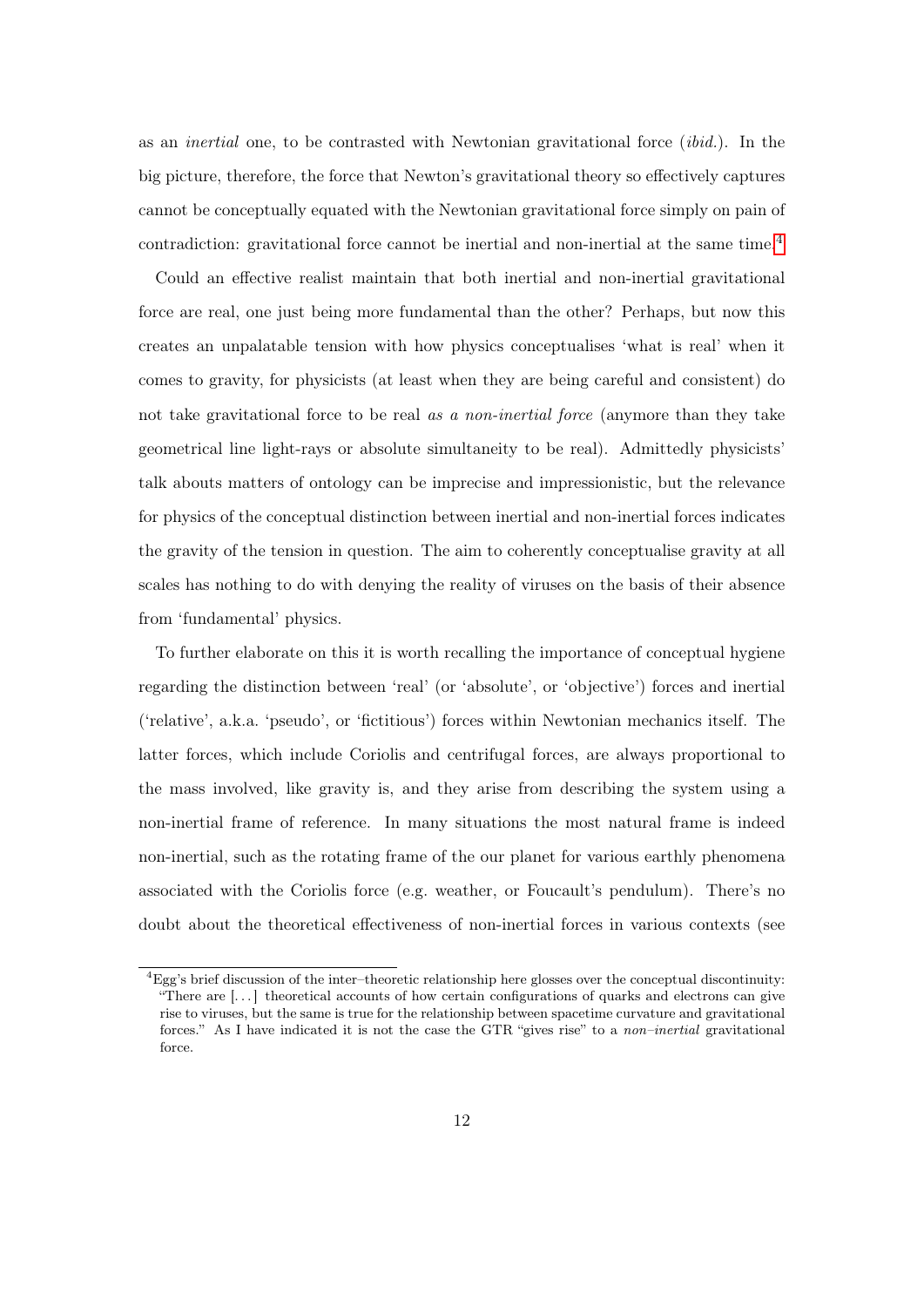as an inertial one, to be contrasted with Newtonian gravitational force (ibid.). In the big picture, therefore, the force that Newton's gravitational theory so effectively captures cannot be conceptually equated with the Newtonian gravitational force simply on pain of contradiction: gravitational force cannot be inertial and non-inertial at the same time.<sup>[4](#page-0-0)</sup>

Could an effective realist maintain that both inertial and non-inertial gravitational force are real, one just being more fundamental than the other? Perhaps, but now this creates an unpalatable tension with how physics conceptualises 'what is real' when it comes to gravity, for physicists (at least when they are being careful and consistent) do not take gravitational force to be real as a non-inertial force (anymore than they take geometrical line light-rays or absolute simultaneity to be real). Admittedly physicists' talk abouts matters of ontology can be imprecise and impressionistic, but the relevance for physics of the conceptual distinction between inertial and non-inertial forces indicates the gravity of the tension in question. The aim to coherently conceptualise gravity at all scales has nothing to do with denying the reality of viruses on the basis of their absence from 'fundamental' physics.

To further elaborate on this it is worth recalling the importance of conceptual hygiene regarding the distinction between 'real' (or 'absolute', or 'objective') forces and inertial ('relative', a.k.a. 'pseudo', or 'fictitious') forces within Newtonian mechanics itself. The latter forces, which include Coriolis and centrifugal forces, are always proportional to the mass involved, like gravity is, and they arise from describing the system using a non-inertial frame of reference. In many situations the most natural frame is indeed non-inertial, such as the rotating frame of the our planet for various earthly phenomena associated with the Coriolis force (e.g. weather, or Foucault's pendulum). There's no doubt about the theoretical effectiveness of non-inertial forces in various contexts (see

 ${}^{4}$ Egg's brief discussion of the inter-theoretic relationship here glosses over the conceptual discontinuity: "There are  $[\ldots]$  theoretical accounts of how certain configurations of quarks and electrons can give rise to viruses, but the same is true for the relationship between spacetime curvature and gravitational forces." As I have indicated it is not the case the GTR "gives rise" to a *non–inertial* gravitational force.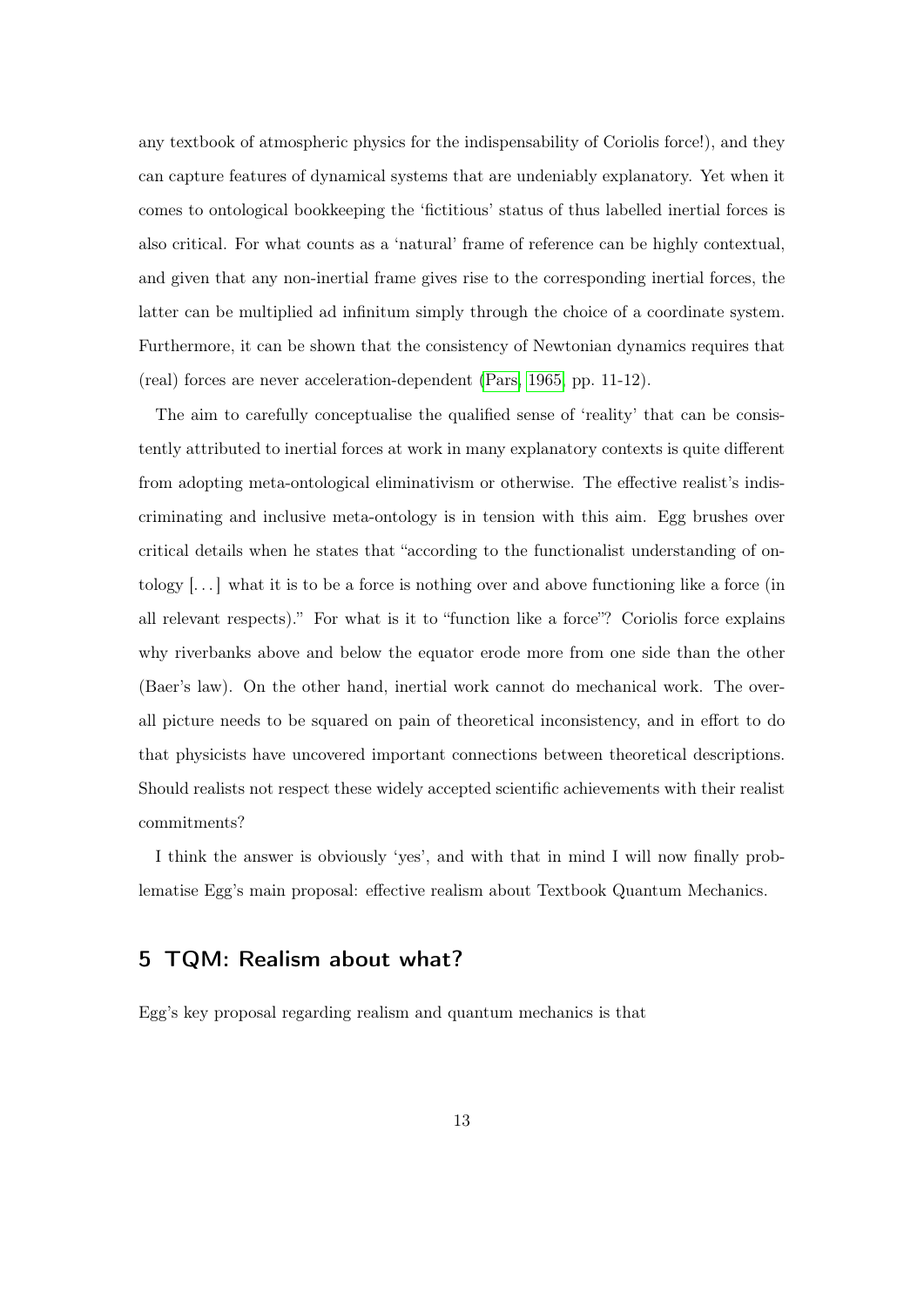any textbook of atmospheric physics for the indispensability of Coriolis force!), and they can capture features of dynamical systems that are undeniably explanatory. Yet when it comes to ontological bookkeeping the 'fictitious' status of thus labelled inertial forces is also critical. For what counts as a 'natural' frame of reference can be highly contextual, and given that any non-inertial frame gives rise to the corresponding inertial forces, the latter can be multiplied ad infinitum simply through the choice of a coordinate system. Furthermore, it can be shown that the consistency of Newtonian dynamics requires that (real) forces are never acceleration-dependent [\(Pars, 1965,](#page-23-8) pp. 11-12).

The aim to carefully conceptualise the qualified sense of 'reality' that can be consistently attributed to inertial forces at work in many explanatory contexts is quite different from adopting meta-ontological eliminativism or otherwise. The effective realist's indiscriminating and inclusive meta-ontology is in tension with this aim. Egg brushes over critical details when he states that "according to the functionalist understanding of ontology  $[\dots]$  what it is to be a force is nothing over and above functioning like a force (in all relevant respects)." For what is it to "function like a force"? Coriolis force explains why riverbanks above and below the equator erode more from one side than the other (Baer's law). On the other hand, inertial work cannot do mechanical work. The overall picture needs to be squared on pain of theoretical inconsistency, and in effort to do that physicists have uncovered important connections between theoretical descriptions. Should realists not respect these widely accepted scientific achievements with their realist commitments?

I think the answer is obviously 'yes', and with that in mind I will now finally problematise Egg's main proposal: effective realism about Textbook Quantum Mechanics.

## <span id="page-12-0"></span>5 TQM: Realism about what?

Egg's key proposal regarding realism and quantum mechanics is that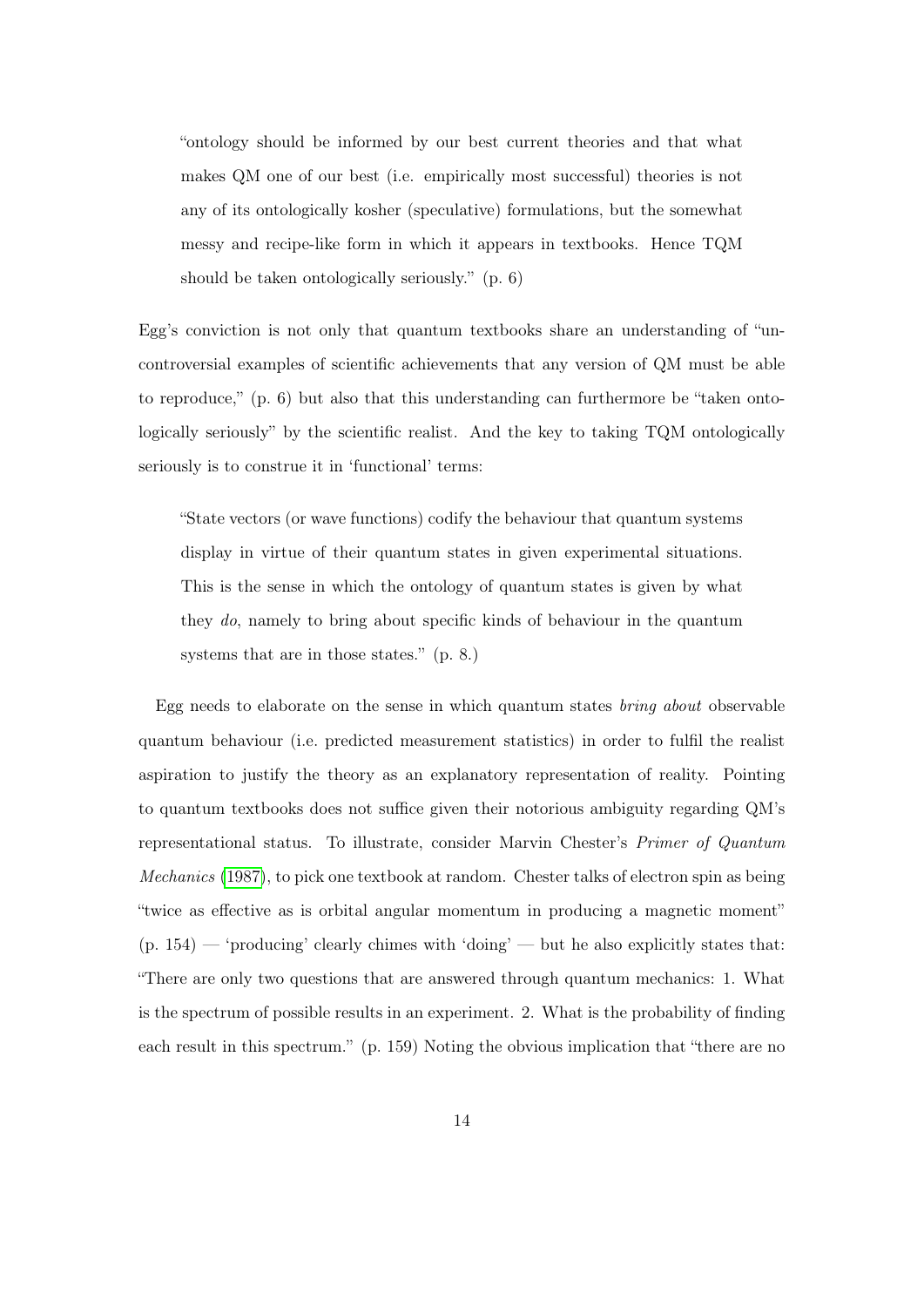"ontology should be informed by our best current theories and that what makes QM one of our best (i.e. empirically most successful) theories is not any of its ontologically kosher (speculative) formulations, but the somewhat messy and recipe-like form in which it appears in textbooks. Hence TQM should be taken ontologically seriously." (p. 6)

Egg's conviction is not only that quantum textbooks share an understanding of "uncontroversial examples of scientific achievements that any version of QM must be able to reproduce," (p. 6) but also that this understanding can furthermore be "taken ontologically seriously" by the scientific realist. And the key to taking TQM ontologically seriously is to construe it in 'functional' terms:

"State vectors (or wave functions) codify the behaviour that quantum systems display in virtue of their quantum states in given experimental situations. This is the sense in which the ontology of quantum states is given by what they do, namely to bring about specific kinds of behaviour in the quantum systems that are in those states." (p. 8.)

Egg needs to elaborate on the sense in which quantum states bring about observable quantum behaviour (i.e. predicted measurement statistics) in order to fulfil the realist aspiration to justify the theory as an explanatory representation of reality. Pointing to quantum textbooks does not suffice given their notorious ambiguity regarding QM's representational status. To illustrate, consider Marvin Chester's Primer of Quantum Mechanics [\(1987\)](#page-21-4), to pick one textbook at random. Chester talks of electron spin as being "twice as effective as is orbital angular momentum in producing a magnetic moment"  $(p. 154)$  — 'producing' clearly chimes with 'doing' — but he also explicitly states that: "There are only two questions that are answered through quantum mechanics: 1. What is the spectrum of possible results in an experiment. 2. What is the probability of finding each result in this spectrum." (p. 159) Noting the obvious implication that "there are no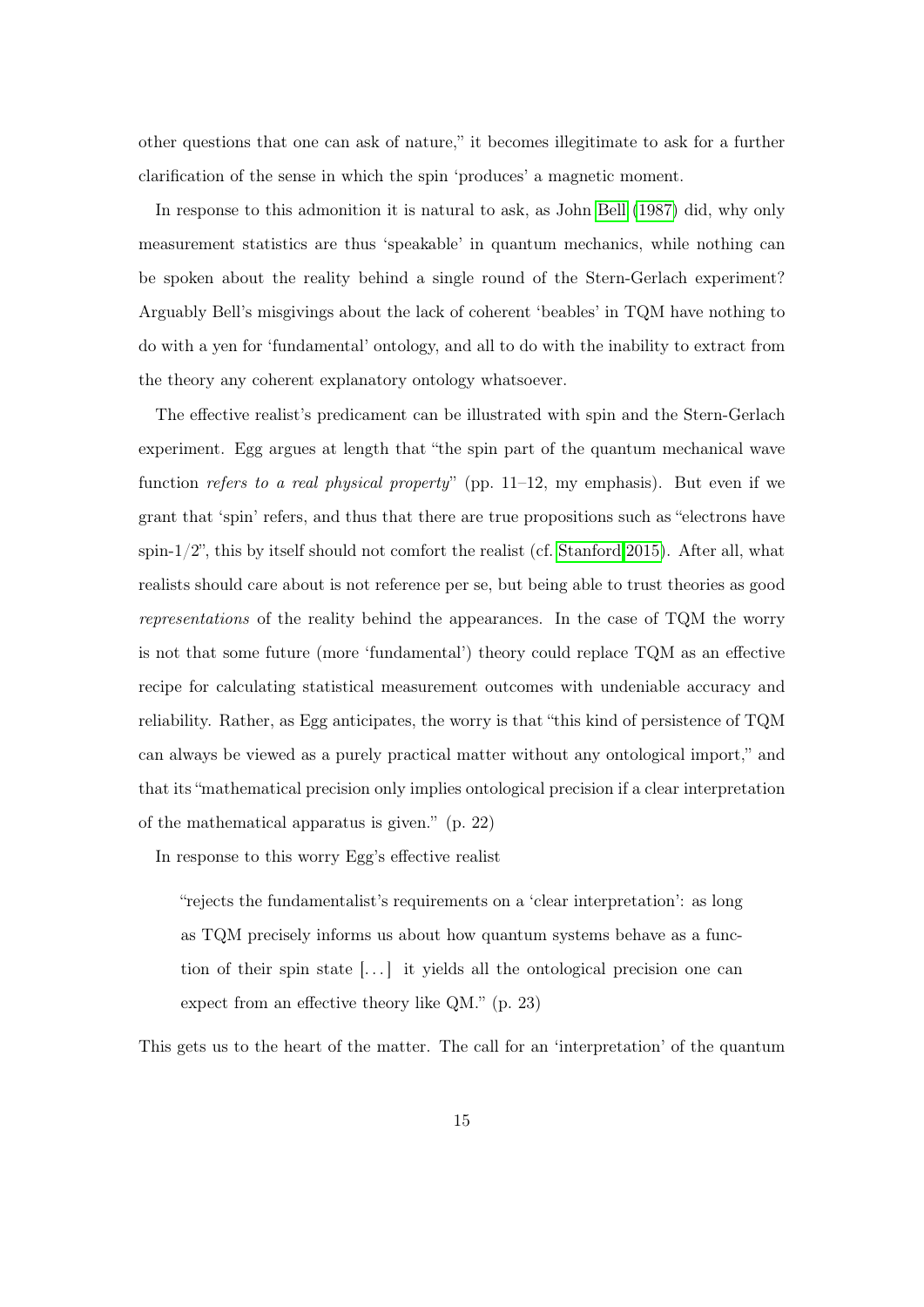other questions that one can ask of nature," it becomes illegitimate to ask for a further clarification of the sense in which the spin 'produces' a magnetic moment.

In response to this admonition it is natural to ask, as John [Bell](#page-21-5) [\(1987\)](#page-21-5) did, why only measurement statistics are thus 'speakable' in quantum mechanics, while nothing can be spoken about the reality behind a single round of the Stern-Gerlach experiment? Arguably Bell's misgivings about the lack of coherent 'beables' in TQM have nothing to do with a yen for 'fundamental' ontology, and all to do with the inability to extract from the theory any coherent explanatory ontology whatsoever.

The effective realist's predicament can be illustrated with spin and the Stern-Gerlach experiment. Egg argues at length that "the spin part of the quantum mechanical wave function refers to a real physical property" (pp.  $11-12$ , my emphasis). But even if we grant that 'spin' refers, and thus that there are true propositions such as "electrons have spin- $1/2$ ", this by itself should not comfort the realist (cf. [Stanford 2015\)](#page-24-2). After all, what realists should care about is not reference per se, but being able to trust theories as good representations of the reality behind the appearances. In the case of TQM the worry is not that some future (more 'fundamental') theory could replace TQM as an effective recipe for calculating statistical measurement outcomes with undeniable accuracy and reliability. Rather, as Egg anticipates, the worry is that "this kind of persistence of TQM can always be viewed as a purely practical matter without any ontological import," and that its "mathematical precision only implies ontological precision if a clear interpretation of the mathematical apparatus is given." (p. 22)

In response to this worry Egg's effective realist

"rejects the fundamentalist's requirements on a 'clear interpretation': as long as TQM precisely informs us about how quantum systems behave as a function of their spin state  $[\dots]$  it yields all the ontological precision one can expect from an effective theory like QM." (p. 23)

This gets us to the heart of the matter. The call for an 'interpretation' of the quantum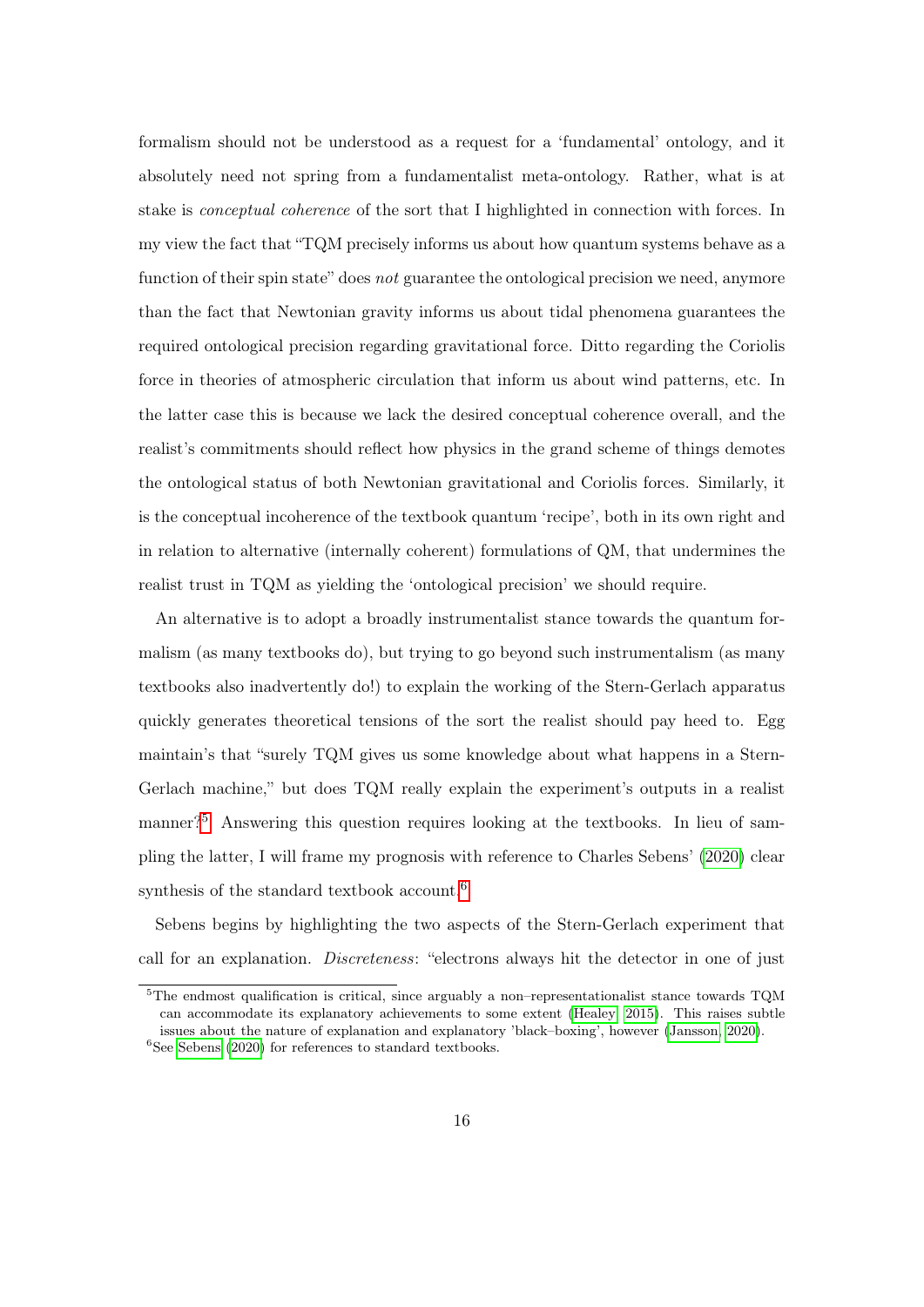formalism should not be understood as a request for a 'fundamental' ontology, and it absolutely need not spring from a fundamentalist meta-ontology. Rather, what is at stake is conceptual coherence of the sort that I highlighted in connection with forces. In my view the fact that "TQM precisely informs us about how quantum systems behave as a function of their spin state" does not guarantee the ontological precision we need, anymore than the fact that Newtonian gravity informs us about tidal phenomena guarantees the required ontological precision regarding gravitational force. Ditto regarding the Coriolis force in theories of atmospheric circulation that inform us about wind patterns, etc. In the latter case this is because we lack the desired conceptual coherence overall, and the realist's commitments should reflect how physics in the grand scheme of things demotes the ontological status of both Newtonian gravitational and Coriolis forces. Similarly, it is the conceptual incoherence of the textbook quantum 'recipe', both in its own right and in relation to alternative (internally coherent) formulations of QM, that undermines the realist trust in TQM as yielding the 'ontological precision' we should require.

An alternative is to adopt a broadly instrumentalist stance towards the quantum formalism (as many textbooks do), but trying to go beyond such instrumentalism (as many textbooks also inadvertently do!) to explain the working of the Stern-Gerlach apparatus quickly generates theoretical tensions of the sort the realist should pay heed to. Egg maintain's that "surely TQM gives us some knowledge about what happens in a Stern-Gerlach machine," but does TQM really explain the experiment's outputs in a realist manner?<sup>[5](#page-0-0)</sup> Answering this question requires looking at the textbooks. In lieu of sampling the latter, I will frame my prognosis with reference to Charles Sebens' [\(2020\)](#page-24-3) clear synthesis of the standard textbook account.<sup>[6](#page-0-0)</sup>

Sebens begins by highlighting the two aspects of the Stern-Gerlach experiment that call for an explanation. Discreteness: "electrons always hit the detector in one of just

<sup>5</sup>The endmost qualification is critical, since arguably a non–representationalist stance towards TQM can accommodate its explanatory achievements to some extent [\(Healey, 2015\)](#page-22-8). This raises subtle issues about the nature of explanation and explanatory 'black–boxing', however [\(Jansson, 2020\)](#page-22-9).  $6$ See [Sebens](#page-24-3) [\(2020\)](#page-24-3) for references to standard textbooks.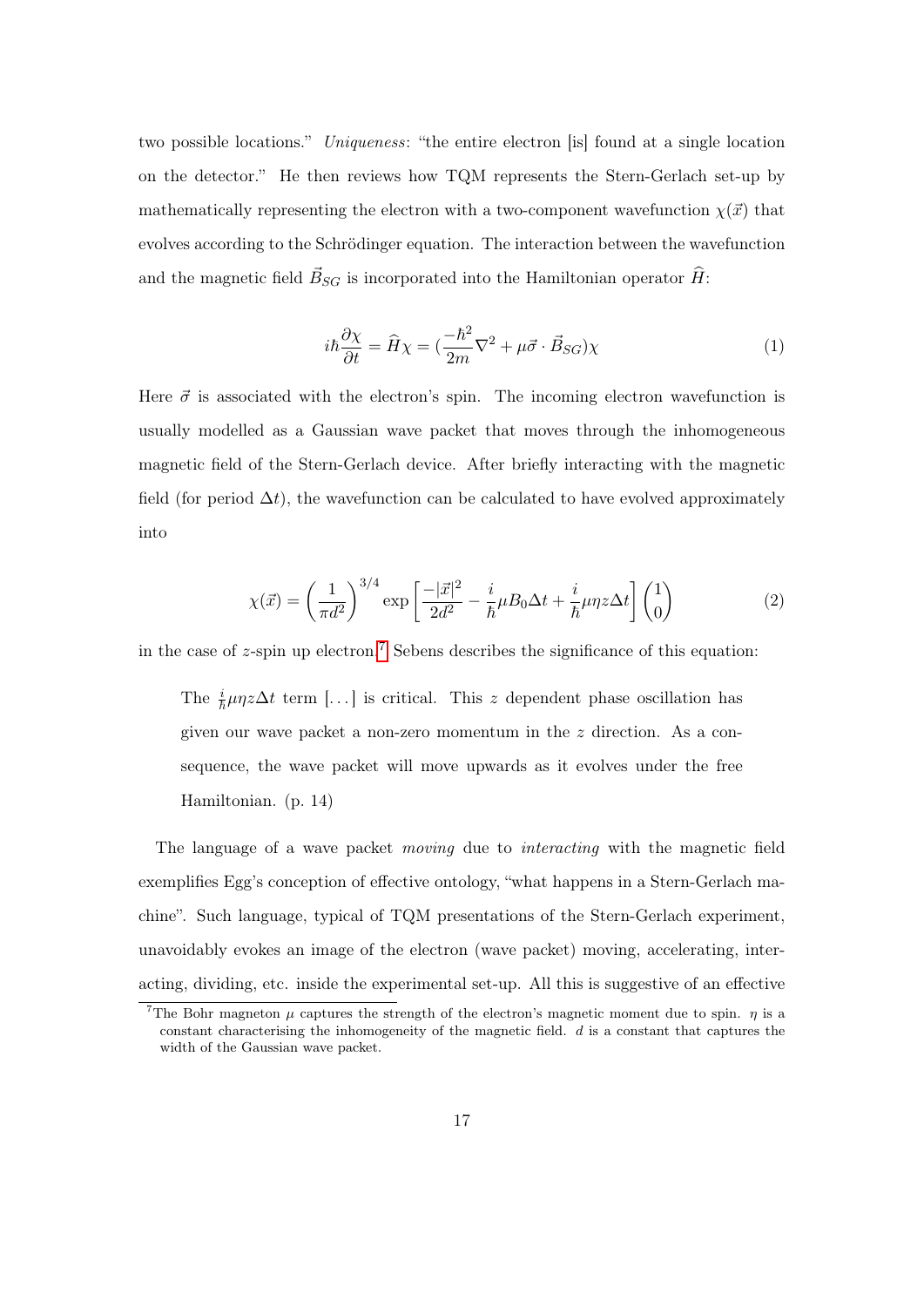two possible locations." Uniqueness: "the entire electron [is] found at a single location on the detector." He then reviews how TQM represents the Stern-Gerlach set-up by mathematically representing the electron with a two-component wavefunction  $\chi(\vec{x})$  that evolves according to the Schrödinger equation. The interaction between the wavefunction and the magnetic field  $\vec{B}_{SG}$  is incorporated into the Hamiltonian operator  $\hat{H}$ :

$$
i\hbar \frac{\partial \chi}{\partial t} = \hat{H}\chi = \left(\frac{-\hbar^2}{2m}\nabla^2 + \mu \vec{\sigma} \cdot \vec{B}_{SG}\right)\chi\tag{1}
$$

Here  $\vec{\sigma}$  is associated with the electron's spin. The incoming electron wavefunction is usually modelled as a Gaussian wave packet that moves through the inhomogeneous magnetic field of the Stern-Gerlach device. After briefly interacting with the magnetic field (for period  $\Delta t$ ), the wavefunction can be calculated to have evolved approximately into

$$
\chi(\vec{x}) = \left(\frac{1}{\pi d^2}\right)^{3/4} \exp\left[\frac{-|\vec{x}|^2}{2d^2} - \frac{i}{\hbar}\mu B_0 \Delta t + \frac{i}{\hbar}\mu \eta z \Delta t\right] \begin{pmatrix} 1\\0 \end{pmatrix} \tag{2}
$$

<span id="page-16-0"></span>in the case of  $z$ -spin up electron.<sup>[7](#page-0-0)</sup> Sebens describes the significance of this equation:

The  $\frac{i}{\hbar}\mu\eta z\Delta t$  term [...] is critical. This z dependent phase oscillation has given our wave packet a non-zero momentum in the z direction. As a consequence, the wave packet will move upwards as it evolves under the free Hamiltonian. (p. 14)

The language of a wave packet moving due to interacting with the magnetic field exemplifies Egg's conception of effective ontology, "what happens in a Stern-Gerlach machine". Such language, typical of TQM presentations of the Stern-Gerlach experiment, unavoidably evokes an image of the electron (wave packet) moving, accelerating, interacting, dividing, etc. inside the experimental set-up. All this is suggestive of an effective

<sup>&</sup>lt;sup>7</sup>The Bohr magneton  $\mu$  captures the strength of the electron's magnetic moment due to spin.  $\eta$  is a constant characterising the inhomogeneity of the magnetic field.  $d$  is a constant that captures the width of the Gaussian wave packet.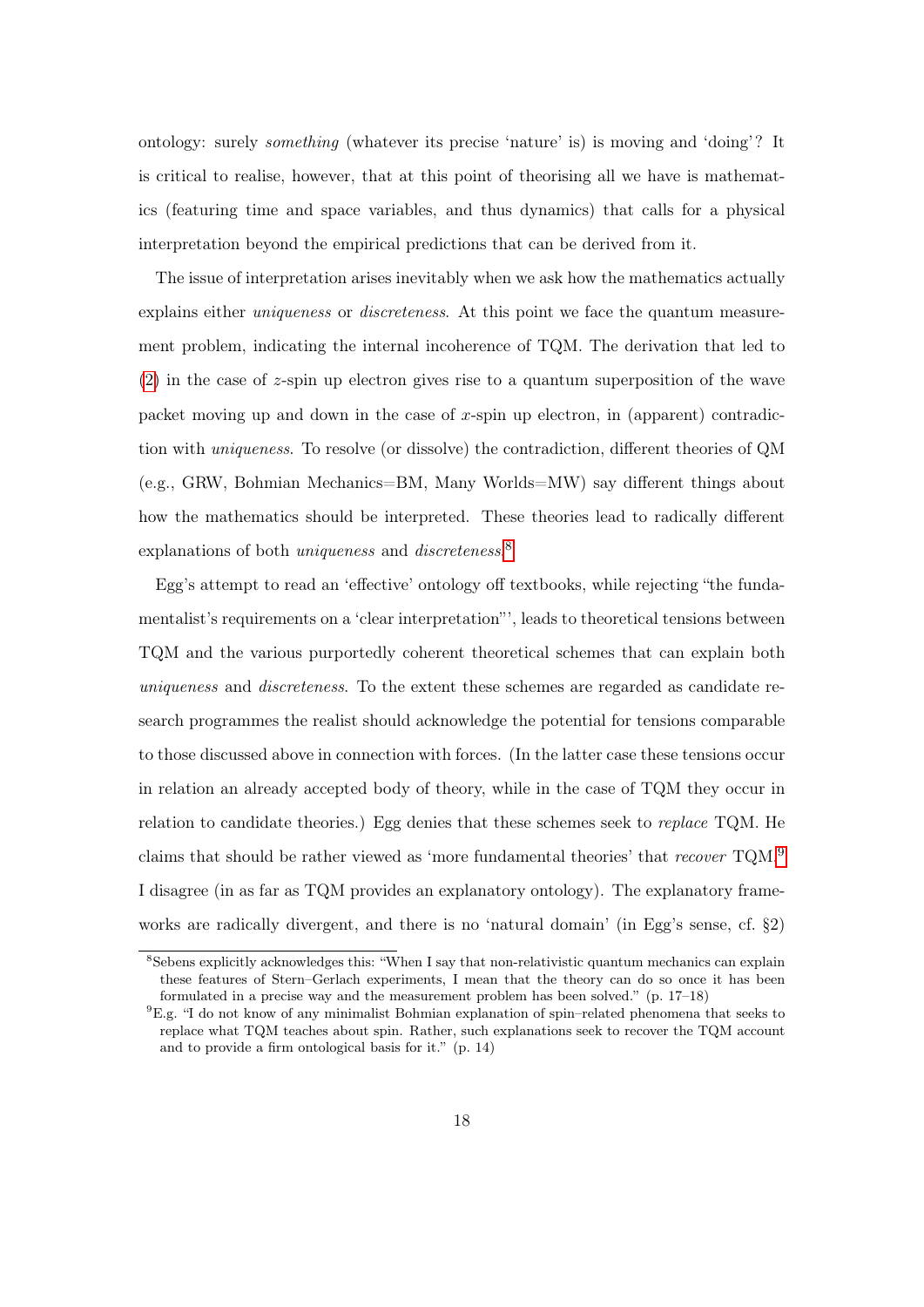ontology: surely something (whatever its precise 'nature' is) is moving and 'doing'? It is critical to realise, however, that at this point of theorising all we have is mathematics (featuring time and space variables, and thus dynamics) that calls for a physical interpretation beyond the empirical predictions that can be derived from it.

The issue of interpretation arises inevitably when we ask how the mathematics actually explains either *uniqueness* or *discreteness*. At this point we face the quantum measurement problem, indicating the internal incoherence of TQM. The derivation that led to [\(2\)](#page-16-0) in the case of z-spin up electron gives rise to a quantum superposition of the wave packet moving up and down in the case of  $x$ -spin up electron, in (apparent) contradiction with uniqueness. To resolve (or dissolve) the contradiction, different theories of QM (e.g., GRW, Bohmian Mechanics=BM, Many Worlds=MW) say different things about how the mathematics should be interpreted. These theories lead to radically different explanations of both *uniqueness* and *discreteness*.<sup>[8](#page-0-0)</sup>

Egg's attempt to read an 'effective' ontology off textbooks, while rejecting "the fundamentalist's requirements on a 'clear interpretation"', leads to theoretical tensions between TQM and the various purportedly coherent theoretical schemes that can explain both uniqueness and discreteness. To the extent these schemes are regarded as candidate research programmes the realist should acknowledge the potential for tensions comparable to those discussed above in connection with forces. (In the latter case these tensions occur in relation an already accepted body of theory, while in the case of TQM they occur in relation to candidate theories.) Egg denies that these schemes seek to replace TQM. He claims that should be rather viewed as 'more fundamental theories' that recover  $TQM$ . I disagree (in as far as TQM provides an explanatory ontology). The explanatory frameworks are radically divergent, and there is no 'natural domain' (in Egg's sense, cf. §2)

<sup>8</sup>Sebens explicitly acknowledges this: "When I say that non-relativistic quantum mechanics can explain these features of Stern–Gerlach experiments, I mean that the theory can do so once it has been formulated in a precise way and the measurement problem has been solved." (p. 17–18)

 ${}^{9}E.g.$  "I do not know of any minimalist Bohmian explanation of spin–related phenomena that seeks to replace what TQM teaches about spin. Rather, such explanations seek to recover the TQM account and to provide a firm ontological basis for it." (p. 14)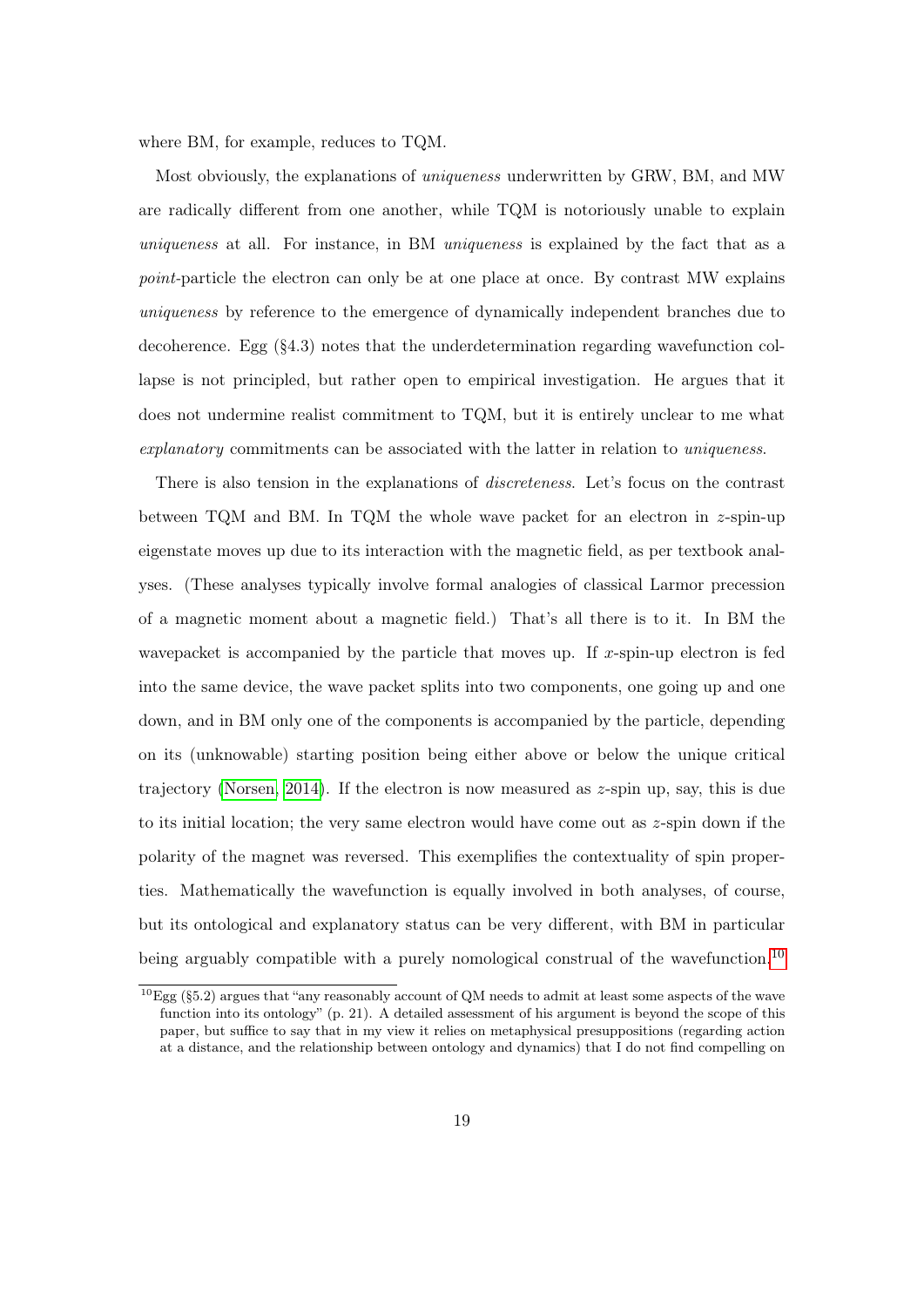where BM, for example, reduces to TQM.

Most obviously, the explanations of uniqueness underwritten by GRW, BM, and MW are radically different from one another, while TQM is notoriously unable to explain uniqueness at all. For instance, in BM uniqueness is explained by the fact that as a point-particle the electron can only be at one place at once. By contrast MW explains uniqueness by reference to the emergence of dynamically independent branches due to decoherence. Egg (§4.3) notes that the underdetermination regarding wavefunction collapse is not principled, but rather open to empirical investigation. He argues that it does not undermine realist commitment to TQM, but it is entirely unclear to me what explanatory commitments can be associated with the latter in relation to uniqueness.

There is also tension in the explanations of discreteness. Let's focus on the contrast between TQM and BM. In TQM the whole wave packet for an electron in z-spin-up eigenstate moves up due to its interaction with the magnetic field, as per textbook analyses. (These analyses typically involve formal analogies of classical Larmor precession of a magnetic moment about a magnetic field.) That's all there is to it. In BM the wavepacket is accompanied by the particle that moves up. If  $x$ -spin-up electron is fed into the same device, the wave packet splits into two components, one going up and one down, and in BM only one of the components is accompanied by the particle, depending on its (unknowable) starting position being either above or below the unique critical trajectory [\(Norsen, 2014\)](#page-23-9). If the electron is now measured as  $z$ -spin up, say, this is due to its initial location; the very same electron would have come out as z-spin down if the polarity of the magnet was reversed. This exemplifies the contextuality of spin properties. Mathematically the wavefunction is equally involved in both analyses, of course, but its ontological and explanatory status can be very different, with BM in particular being arguably compatible with a purely nomological construal of the wavefunction.<sup>[10](#page-0-0)</sup>

 $10Egg$  (§5.2) argues that "any reasonably account of QM needs to admit at least some aspects of the wave function into its ontology" (p. 21). A detailed assessment of his argument is beyond the scope of this paper, but suffice to say that in my view it relies on metaphysical presuppositions (regarding action at a distance, and the relationship between ontology and dynamics) that I do not find compelling on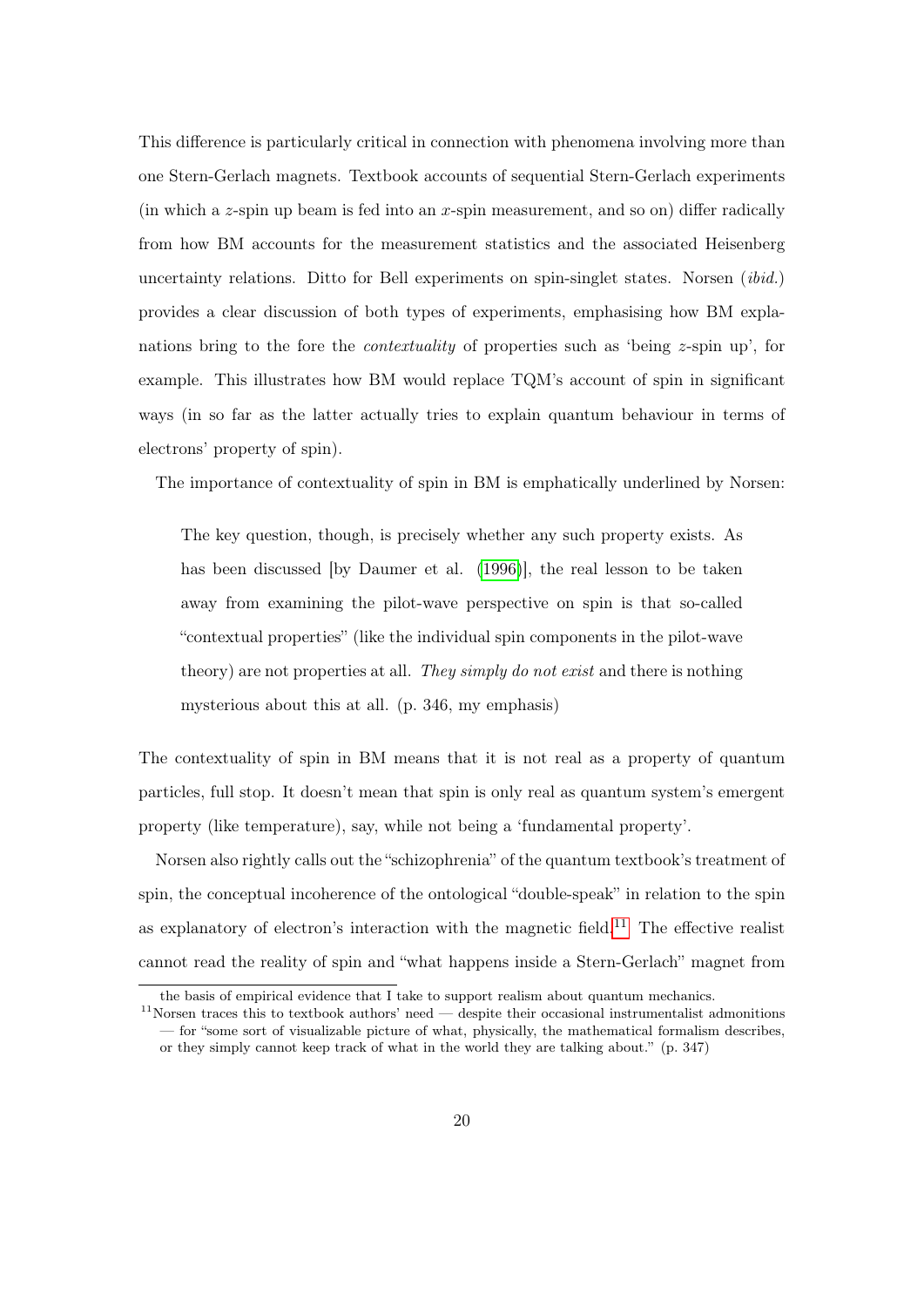This difference is particularly critical in connection with phenomena involving more than one Stern-Gerlach magnets. Textbook accounts of sequential Stern-Gerlach experiments (in which a z-spin up beam is fed into an x-spin measurement, and so on) differ radically from how BM accounts for the measurement statistics and the associated Heisenberg uncertainty relations. Ditto for Bell experiments on spin-singlet states. Norsen *(ibid.)* provides a clear discussion of both types of experiments, emphasising how BM explanations bring to the fore the contextuality of properties such as 'being z-spin up', for example. This illustrates how BM would replace TQM's account of spin in significant ways (in so far as the latter actually tries to explain quantum behaviour in terms of electrons' property of spin).

The importance of contextuality of spin in BM is emphatically underlined by Norsen:

The key question, though, is precisely whether any such property exists. As has been discussed [by Daumer et al. [\(1996\)](#page-22-10)], the real lesson to be taken away from examining the pilot-wave perspective on spin is that so-called "contextual properties" (like the individual spin components in the pilot-wave theory) are not properties at all. They simply do not exist and there is nothing mysterious about this at all. (p. 346, my emphasis)

The contextuality of spin in BM means that it is not real as a property of quantum particles, full stop. It doesn't mean that spin is only real as quantum system's emergent property (like temperature), say, while not being a 'fundamental property'.

Norsen also rightly calls out the "schizophrenia" of the quantum textbook's treatment of spin, the conceptual incoherence of the ontological "double-speak" in relation to the spin as explanatory of electron's interaction with the magnetic field.<sup>[11](#page-0-0)</sup> The effective realist cannot read the reality of spin and "what happens inside a Stern-Gerlach" magnet from

the basis of empirical evidence that I take to support realism about quantum mechanics.

 $11$ Norsen traces this to textbook authors' need — despite their occasional instrumentalist admonitions — for "some sort of visualizable picture of what, physically, the mathematical formalism describes, or they simply cannot keep track of what in the world they are talking about." (p. 347)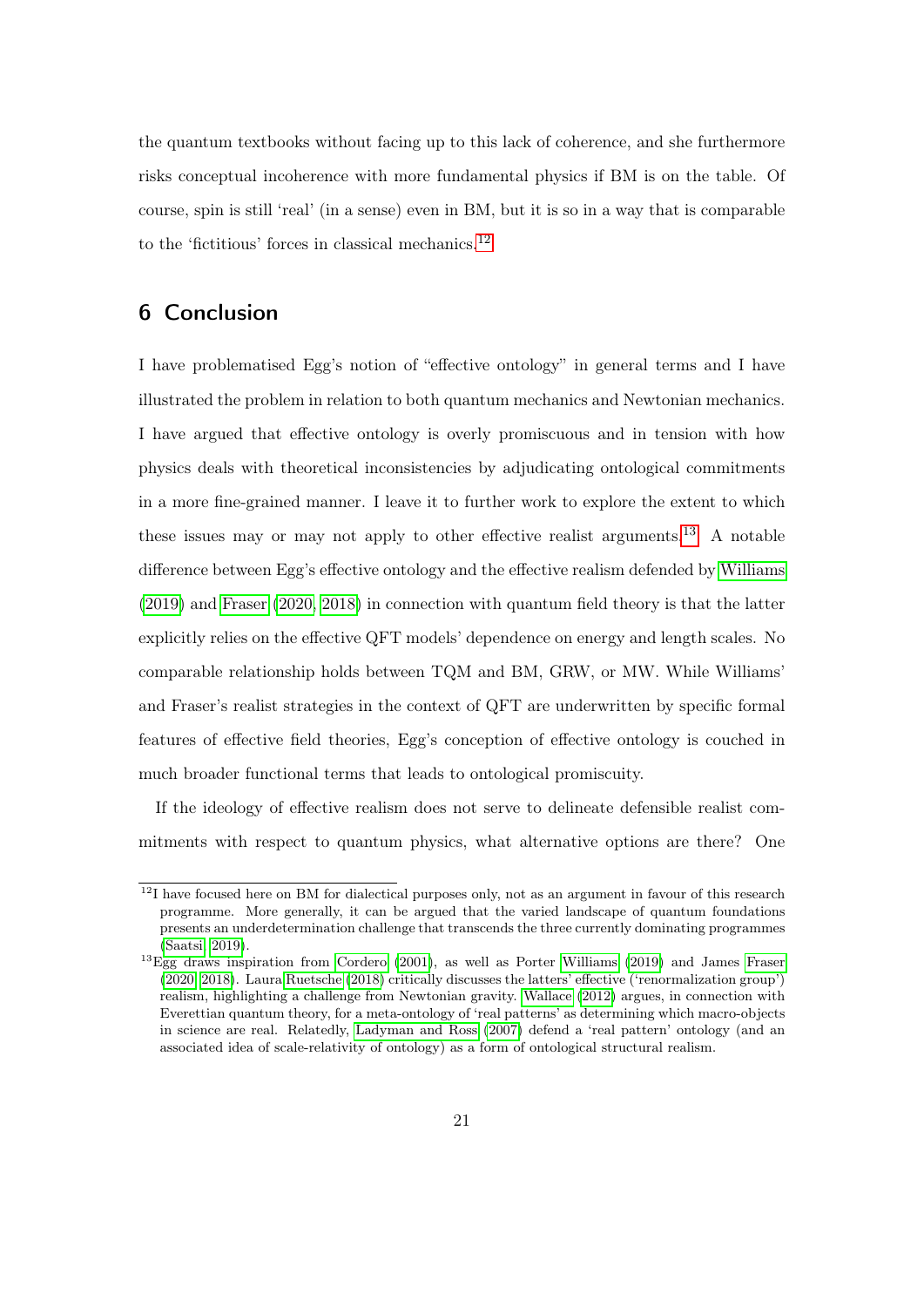the quantum textbooks without facing up to this lack of coherence, and she furthermore risks conceptual incoherence with more fundamental physics if BM is on the table. Of course, spin is still 'real' (in a sense) even in BM, but it is so in a way that is comparable to the 'fictitious' forces in classical mechanics. $^{12}$  $^{12}$  $^{12}$ 

### 6 Conclusion

I have problematised Egg's notion of "effective ontology" in general terms and I have illustrated the problem in relation to both quantum mechanics and Newtonian mechanics. I have argued that effective ontology is overly promiscuous and in tension with how physics deals with theoretical inconsistencies by adjudicating ontological commitments in a more fine-grained manner. I leave it to further work to explore the extent to which these issues may or may not apply to other effective realist arguments.[13](#page-0-0) A notable difference between Egg's effective ontology and the effective realism defended by [Williams](#page-24-1) [\(2019\)](#page-24-1) and [Fraser](#page-22-2) [\(2020,](#page-22-2) [2018\)](#page-22-1) in connection with quantum field theory is that the latter explicitly relies on the effective QFT models' dependence on energy and length scales. No comparable relationship holds between TQM and BM, GRW, or MW. While Williams' and Fraser's realist strategies in the context of QFT are underwritten by specific formal features of effective field theories, Egg's conception of effective ontology is couched in much broader functional terms that leads to ontological promiscuity.

If the ideology of effective realism does not serve to delineate defensible realist commitments with respect to quantum physics, what alternative options are there? One

<sup>&</sup>lt;sup>12</sup>I have focused here on BM for dialectical purposes only, not as an argument in favour of this research programme. More generally, it can be argued that the varied landscape of quantum foundations presents an underdetermination challenge that transcends the three currently dominating programmes [\(Saatsi, 2019\)](#page-24-4).

<sup>&</sup>lt;sup>13</sup>Egg draws inspiration from [Cordero](#page-21-6) [\(2001\)](#page-21-6), as well as Porter [Williams](#page-24-1) [\(2019\)](#page-24-1) and James [Fraser](#page-22-2) [\(2020,](#page-22-2) [2018\)](#page-22-1). Laura [Ruetsche](#page-23-10) [\(2018\)](#page-23-10) critically discusses the latters' effective ('renormalization group') realism, highlighting a challenge from Newtonian gravity. [Wallace](#page-24-0) [\(2012\)](#page-24-0) argues, in connection with Everettian quantum theory, for a meta-ontology of 'real patterns' as determining which macro-objects in science are real. Relatedly, [Ladyman and Ross](#page-23-0) [\(2007\)](#page-23-0) defend a 'real pattern' ontology (and an associated idea of scale-relativity of ontology) as a form of ontological structural realism.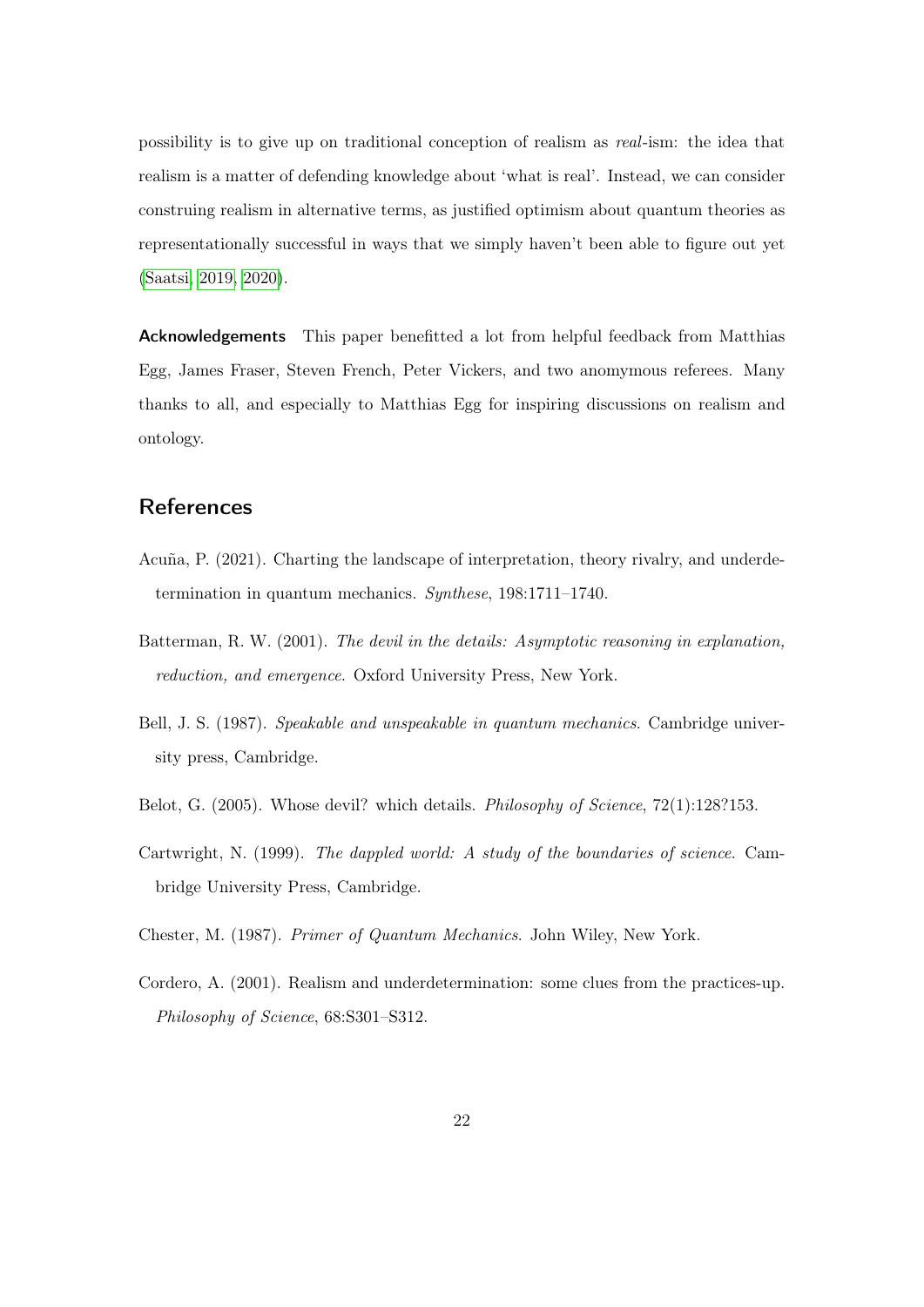possibility is to give up on traditional conception of realism as real-ism: the idea that realism is a matter of defending knowledge about 'what is real'. Instead, we can consider construing realism in alternative terms, as justified optimism about quantum theories as representationally successful in ways that we simply haven't been able to figure out yet [\(Saatsi, 2019,](#page-24-4) [2020\)](#page-24-5).

Acknowledgements This paper benefitted a lot from helpful feedback from Matthias Egg, James Fraser, Steven French, Peter Vickers, and two anomymous referees. Many thanks to all, and especially to Matthias Egg for inspiring discussions on realism and ontology.

## **References**

- <span id="page-21-0"></span>Acuña, P. (2021). Charting the landscape of interpretation, theory rivalry, and underdetermination in quantum mechanics. Synthese, 198:1711–1740.
- <span id="page-21-1"></span>Batterman, R. W. (2001). The devil in the details: Asymptotic reasoning in explanation, reduction, and emergence. Oxford University Press, New York.
- <span id="page-21-5"></span>Bell, J. S. (1987). Speakable and unspeakable in quantum mechanics. Cambridge university press, Cambridge.
- <span id="page-21-2"></span>Belot, G. (2005). Whose devil? which details. *Philosophy of Science*, 72(1):128?153.
- <span id="page-21-3"></span>Cartwright, N. (1999). The dappled world: A study of the boundaries of science. Cambridge University Press, Cambridge.
- <span id="page-21-4"></span>Chester, M. (1987). Primer of Quantum Mechanics. John Wiley, New York.
- <span id="page-21-6"></span>Cordero, A. (2001). Realism and underdetermination: some clues from the practices-up. Philosophy of Science, 68:S301–S312.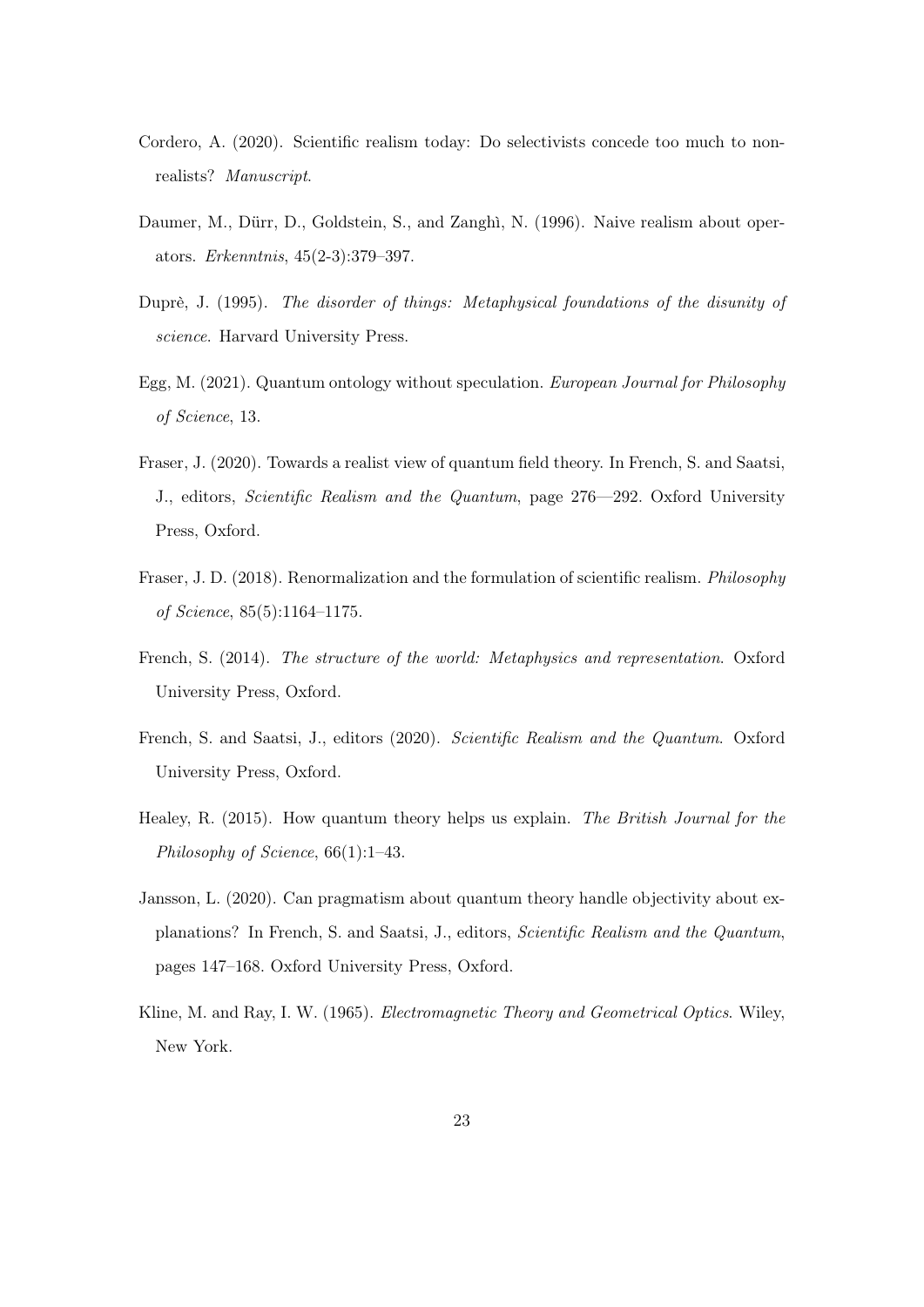- <span id="page-22-3"></span>Cordero, A. (2020). Scientific realism today: Do selectivists concede too much to nonrealists? Manuscript.
- <span id="page-22-10"></span>Daumer, M., Dürr, D., Goldstein, S., and Zanghì, N. (1996). Naive realism about operators. Erkenntnis, 45(2-3):379–397.
- <span id="page-22-6"></span>Duprè, J. (1995). The disorder of things: Metaphysical foundations of the disunity of science. Harvard University Press.
- <span id="page-22-0"></span>Egg, M. (2021). Quantum ontology without speculation. European Journal for Philosophy of Science, 13.
- <span id="page-22-2"></span>Fraser, J. (2020). Towards a realist view of quantum field theory. In French, S. and Saatsi, J., editors, Scientific Realism and the Quantum, page 276—292. Oxford University Press, Oxford.
- <span id="page-22-1"></span>Fraser, J. D. (2018). Renormalization and the formulation of scientific realism. Philosophy of Science, 85(5):1164–1175.
- <span id="page-22-7"></span>French, S. (2014). The structure of the world: Metaphysics and representation. Oxford University Press, Oxford.
- <span id="page-22-4"></span>French, S. and Saatsi, J., editors (2020). Scientific Realism and the Quantum. Oxford University Press, Oxford.
- <span id="page-22-8"></span>Healey, R. (2015). How quantum theory helps us explain. The British Journal for the Philosophy of Science, 66(1):1–43.
- <span id="page-22-9"></span>Jansson, L. (2020). Can pragmatism about quantum theory handle objectivity about explanations? In French, S. and Saatsi, J., editors, Scientific Realism and the Quantum, pages 147–168. Oxford University Press, Oxford.
- <span id="page-22-5"></span>Kline, M. and Ray, I. W. (1965). Electromagnetic Theory and Geometrical Optics. Wiley, New York.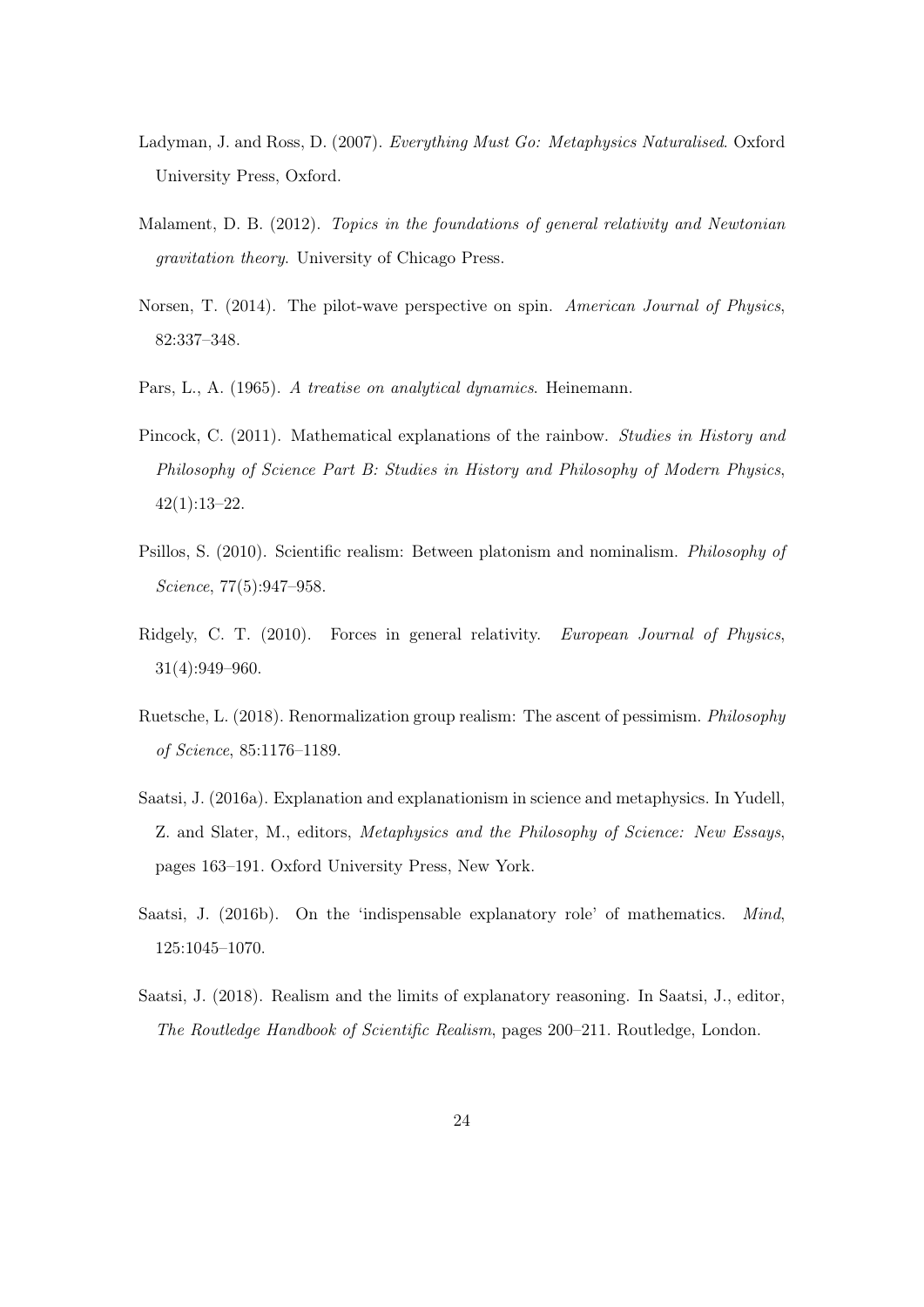- <span id="page-23-0"></span>Ladyman, J. and Ross, D. (2007). Everything Must Go: Metaphysics Naturalised. Oxford University Press, Oxford.
- <span id="page-23-5"></span>Malament, D. B. (2012). Topics in the foundations of general relativity and Newtonian gravitation theory. University of Chicago Press.
- <span id="page-23-9"></span>Norsen, T. (2014). The pilot-wave perspective on spin. American Journal of Physics, 82:337–348.
- <span id="page-23-8"></span>Pars, L., A. (1965). A treatise on analytical dynamics. Heinemann.
- <span id="page-23-6"></span>Pincock, C. (2011). Mathematical explanations of the rainbow. Studies in History and Philosophy of Science Part B: Studies in History and Philosophy of Modern Physics, 42(1):13–22.
- <span id="page-23-2"></span>Psillos, S. (2010). Scientific realism: Between platonism and nominalism. Philosophy of Science, 77(5):947–958.
- <span id="page-23-7"></span>Ridgely, C. T. (2010). Forces in general relativity. European Journal of Physics, 31(4):949–960.
- <span id="page-23-10"></span>Ruetsche, L. (2018). Renormalization group realism: The ascent of pessimism. Philosophy of Science, 85:1176–1189.
- <span id="page-23-3"></span>Saatsi, J. (2016a). Explanation and explanationism in science and metaphysics. In Yudell, Z. and Slater, M., editors, Metaphysics and the Philosophy of Science: New Essays, pages 163–191. Oxford University Press, New York.
- <span id="page-23-4"></span>Saatsi, J. (2016b). On the 'indispensable explanatory role' of mathematics. Mind, 125:1045–1070.
- <span id="page-23-1"></span>Saatsi, J. (2018). Realism and the limits of explanatory reasoning. In Saatsi, J., editor, The Routledge Handbook of Scientific Realism, pages 200–211. Routledge, London.